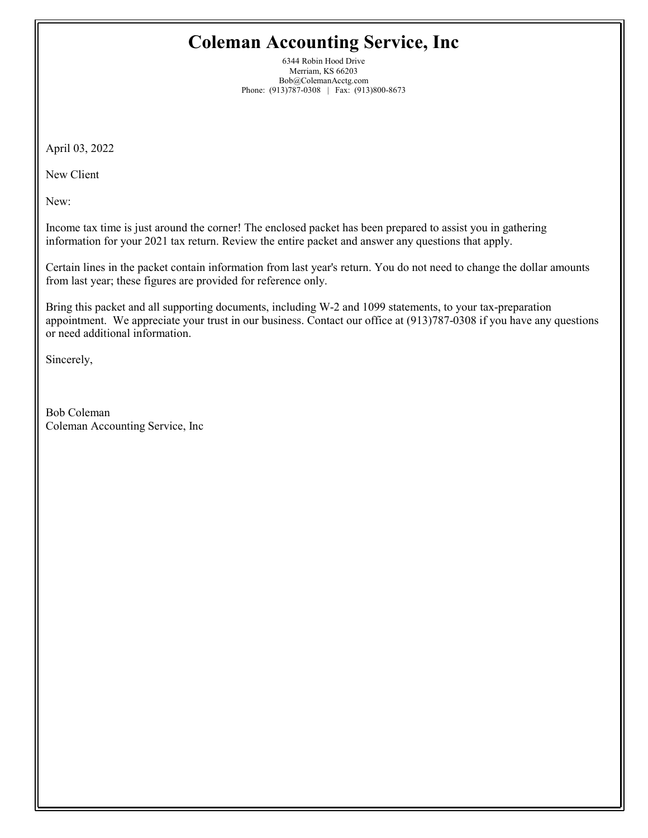# Coleman Accounting Service, Inc

6344 Robin Hood Drive Merriam, KS 66203 Bob@ColemanAcctg.com Phone: (913)787-0308 | Fax: (913)800-8673

April 03, 2022

New Client

New:

Income tax time is just around the corner! The enclosed packet has been prepared to assist you in gathering information for your 2021 tax return. Review the entire packet and answer any questions that apply.

Certain lines in the packet contain information from last year's return. You do not need to change the dollar amounts from last year; these figures are provided for reference only.

Bring this packet and all supporting documents, including W-2 and 1099 statements, to your tax-preparation appointment. We appreciate your trust in our business. Contact our office at (913)787-0308 if you have any questions or need additional information.

Sincerely,

Bob Coleman Coleman Accounting Service, Inc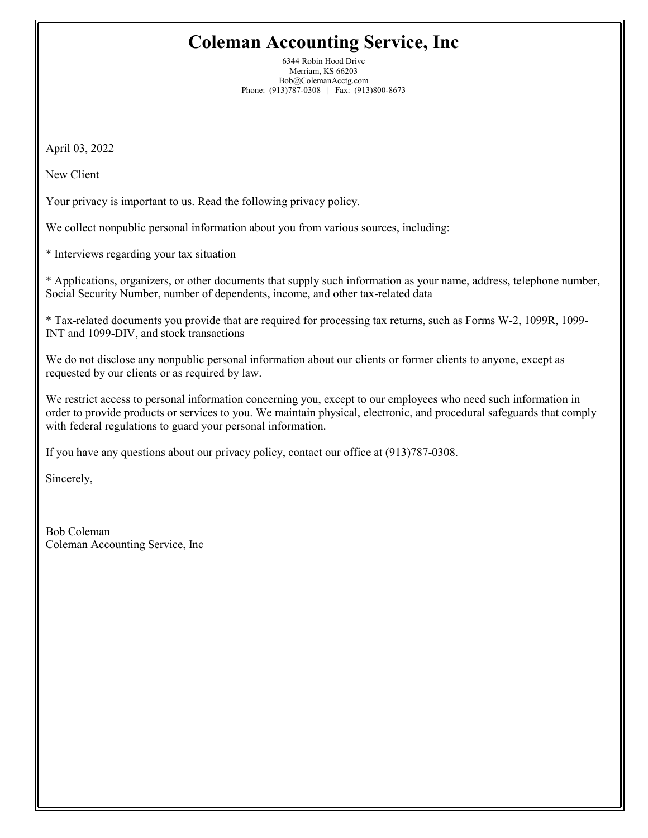# Coleman Accounting Service, Inc

6344 Robin Hood Drive Merriam, KS 66203 Bob@ColemanAcctg.com Phone: (913)787-0308 | Fax: (913)800-8673

April 03, 2022

New Client

Your privacy is important to us. Read the following privacy policy.

We collect nonpublic personal information about you from various sources, including:

\* Interviews regarding your tax situation

\* Applications, organizers, or other documents that supply such information as your name, address, telephone number, Social Security Number, number of dependents, income, and other tax-related data

\* Tax-related documents you provide that are required for processing tax returns, such as Forms W-2, 1099R, 1099- INT and 1099-DIV, and stock transactions

We do not disclose any nonpublic personal information about our clients or former clients to anyone, except as requested by our clients or as required by law.

We restrict access to personal information concerning you, except to our employees who need such information in order to provide products or services to you. We maintain physical, electronic, and procedural safeguards that comply with federal regulations to guard your personal information.

If you have any questions about our privacy policy, contact our office at (913)787-0308.

Sincerely,

Bob Coleman Coleman Accounting Service, Inc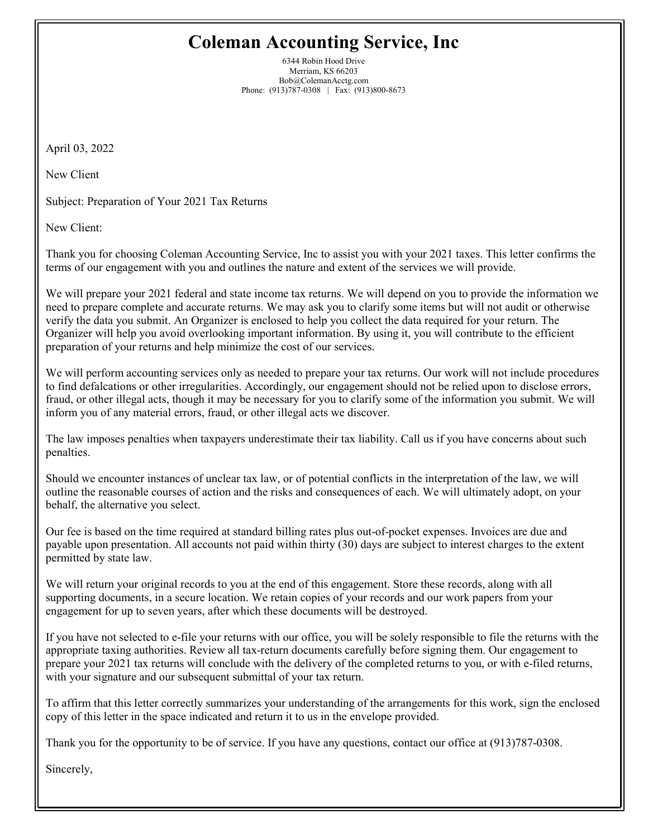# Coleman Accounting Service, Inc

6344 Robin Hood Drive Merriam, KS 66203 Bob@ColemanAcctg.com Phone: (913)787-0308 | Fax: (913)800-8673

April 03, 2022

New Client

Subject: Preparation of Your 2021 Tax Returns

New Client:

Thank you for choosing Coleman Accounting Service, Inc to assist you with your 2021 taxes. This letter confirms the terms of our engagement with you and outlines the nature and extent of the services we will provide.

We will prepare your 2021 federal and state income tax returns. We will depend on you to provide the information we need to prepare complete and accurate returns. We may ask you to clarify some items but will not audit or otherwise verify the data you submit. An Organizer is enclosed to help you collect the data required for your return. The Organizer will help you avoid overlooking important information. By using it, you will contribute to the efficient preparation of your returns and help minimize the cost of our services.

We will perform accounting services only as needed to prepare your tax returns. Our work will not include procedures to find defalcations or other irregularities. Accordingly, our engagement should not be relied upon to disclose errors, fraud, or other illegal acts, though it may be necessary for you to clarify some of the information you submit. We will inform you of any material errors, fraud, or other illegal acts we discover.

The law imposes penalties when taxpayers underestimate their tax liability. Call us if you have concerns about such penalties.

Should we encounter instances of unclear tax law, or of potential conflicts in the interpretation of the law, we will outline the reasonable courses of action and the risks and consequences of each. We will ultimately adopt, on your behalf, the alternative you select.

Our fee is based on the time required at standard billing rates plus out-of-pocket expenses. Invoices are due and payable upon presentation. All accounts not paid within thirty (30) days are subject to interest charges to the extent permitted by state law.

We will return your original records to you at the end of this engagement. Store these records, along with all supporting documents, in a secure location. We retain copies of your records and our work papers from your engagement for up to seven years, after which these documents will be destroyed.

If you have not selected to e-file your returns with our office, you will be solely responsible to file the returns with the appropriate taxing authorities. Review all tax-return documents carefully before signing them. Our engagement to prepare your 2021 tax returns will conclude with the delivery of the completed returns to you, or with e-filed returns, with your signature and our subsequent submittal of your tax return.

To affirm that this letter correctly summarizes your understanding of the arrangements for this work, sign the enclosed copy of this letter in the space indicated and return it to us in the envelope provided.

Thank you for the opportunity to be of service. If you have any questions, contact our office at (913)787-0308.

Sincerely,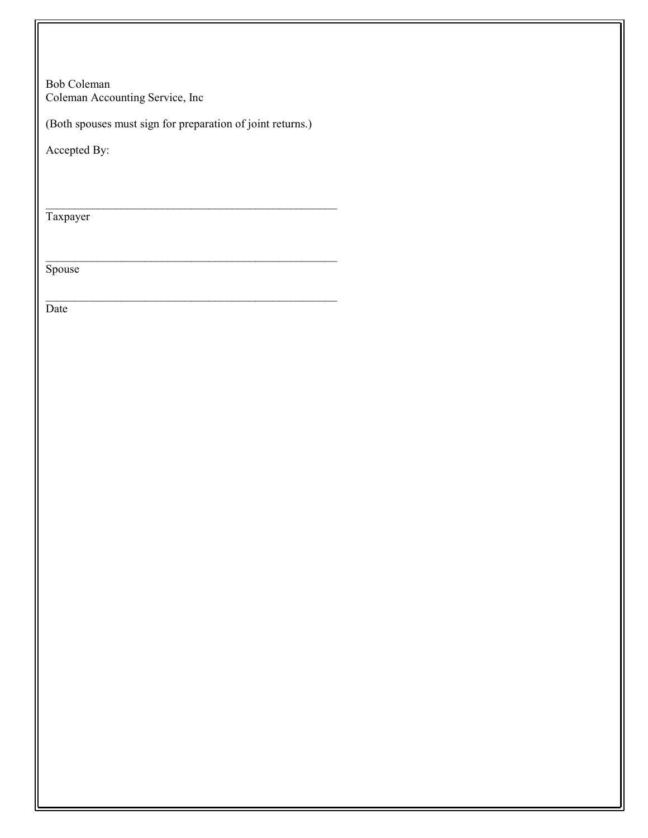Bob Coleman Coleman Accounting Service, Inc

(Both spouses must sign for preparation of joint returns.)

 $\mathcal{L}_\text{max}$  and the contract of the contract of the contract of the contract of the contract of the contract of the contract of the contract of the contract of the contract of the contract of the contract of the contrac

 $\mathcal{L}_\text{max}$  and the contract of the contract of the contract of the contract of the contract of the contract of the contract of the contract of the contract of the contract of the contract of the contract of the contrac

 $\mathcal{L}_\text{max}$  and the contract of the contract of the contract of the contract of the contract of the contract of the contract of the contract of the contract of the contract of the contract of the contract of the contrac

Accepted By:

Taxpayer

Spouse

Date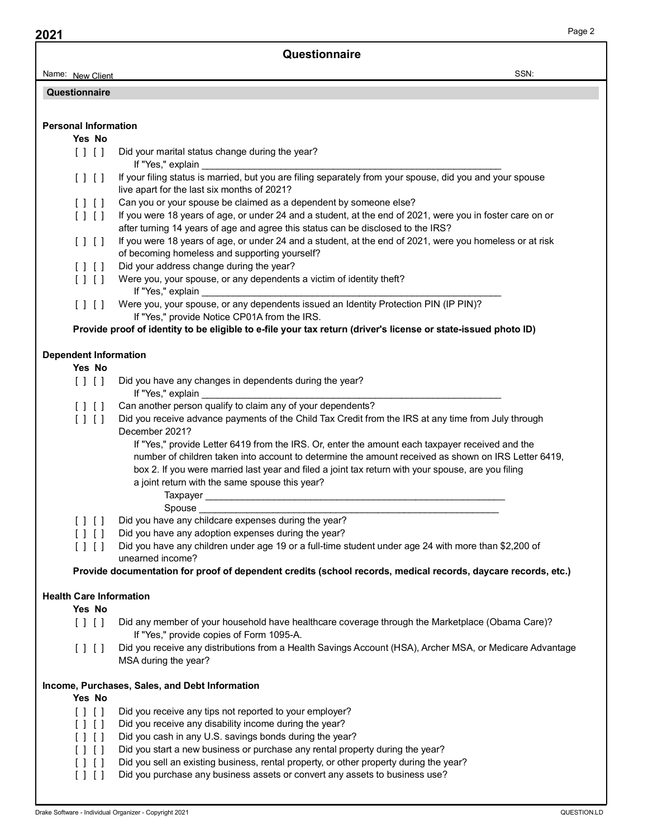| 2021<br>Name: New Client                                                          |                                                                                                                                                                                               |
|-----------------------------------------------------------------------------------|-----------------------------------------------------------------------------------------------------------------------------------------------------------------------------------------------|
|                                                                                   |                                                                                                                                                                                               |
|                                                                                   | Questionnaire<br>SSN:                                                                                                                                                                         |
| Questionnaire                                                                     |                                                                                                                                                                                               |
|                                                                                   |                                                                                                                                                                                               |
| <b>Personal Information</b>                                                       |                                                                                                                                                                                               |
| Yes No<br>[11]                                                                    | Did your marital status change during the year?                                                                                                                                               |
|                                                                                   | If "Yes," explain                                                                                                                                                                             |
| [1]                                                                               | If your filing status is married, but you are filing separately from your spouse, did you and your spouse<br>live apart for the last six months of 2021?                                      |
| $[$ $]$ $[$ $]$                                                                   | Can you or your spouse be claimed as a dependent by someone else?                                                                                                                             |
| [1]                                                                               | If you were 18 years of age, or under 24 and a student, at the end of 2021, were you in foster care on or<br>after turning 14 years of age and agree this status can be disclosed to the IRS? |
| [1]                                                                               | If you were 18 years of age, or under 24 and a student, at the end of 2021, were you homeless or at risk                                                                                      |
|                                                                                   | of becoming homeless and supporting yourself?<br>Did your address change during the year?                                                                                                     |
| $[ \ ]$ $[ \ ]$                                                                   | [] [] Were you, your spouse, or any dependents a victim of identity theft?                                                                                                                    |
|                                                                                   | If "Yes," explain                                                                                                                                                                             |
| [11]                                                                              | Were you, your spouse, or any dependents issued an Identity Protection PIN (IP PIN)?<br>If "Yes," provide Notice CP01A from the IRS.                                                          |
|                                                                                   | Provide proof of identity to be eligible to e-file your tax return (driver's license or state-issued photo ID)                                                                                |
| <b>Dependent Information</b>                                                      |                                                                                                                                                                                               |
| Yes No                                                                            |                                                                                                                                                                                               |
| [1]                                                                               | Did you have any changes in dependents during the year?<br>If "Yes," explain                                                                                                                  |
| $\begin{array}{c} \hline \end{array}$                                             | Can another person qualify to claim any of your dependents?                                                                                                                                   |
| $\begin{array}{c} \hline \end{array}$                                             | Did you receive advance payments of the Child Tax Credit from the IRS at any time from July through<br>December 2021?                                                                         |
|                                                                                   | If "Yes," provide Letter 6419 from the IRS. Or, enter the amount each taxpayer received and the                                                                                               |
|                                                                                   | number of children taken into account to determine the amount received as shown on IRS Letter 6419,                                                                                           |
|                                                                                   | box 2. If you were married last year and filed a joint tax return with your spouse, are you filing<br>a joint return with the same spouse this year?                                          |
|                                                                                   |                                                                                                                                                                                               |
| [1]                                                                               | Spouse<br>Did you have any childcare expenses during the year?                                                                                                                                |
| $[ \ ] \ [ \ ]$                                                                   | Did you have any adoption expenses during the year?                                                                                                                                           |
| [11]                                                                              | Did you have any children under age 19 or a full-time student under age 24 with more than \$2,200 of<br>unearned income?                                                                      |
|                                                                                   | Provide documentation for proof of dependent credits (school records, medical records, daycare records, etc.)                                                                                 |
| <b>Health Care Information</b>                                                    |                                                                                                                                                                                               |
| Yes No                                                                            |                                                                                                                                                                                               |
| [11]                                                                              | Did any member of your household have healthcare coverage through the Marketplace (Obama Care)?                                                                                               |
| [1]                                                                               | If "Yes," provide copies of Form 1095-A.<br>Did you receive any distributions from a Health Savings Account (HSA), Archer MSA, or Medicare Advantage                                          |
|                                                                                   | MSA during the year?                                                                                                                                                                          |
|                                                                                   | Income, Purchases, Sales, and Debt Information                                                                                                                                                |
| Yes No                                                                            |                                                                                                                                                                                               |
|                                                                                   | Did you receive any tips not reported to your employer?                                                                                                                                       |
| $[1 \ 1]$                                                                         | Did you receive any disability income during the year?                                                                                                                                        |
| [11]                                                                              |                                                                                                                                                                                               |
| $\begin{array}{c} \hline \end{array} \begin{array}{c} \hline \end{array}$<br>[11] | Did you cash in any U.S. savings bonds during the year?<br>Did you start a new business or purchase any rental property during the year?                                                      |
| [ ] [ ]                                                                           | Did you sell an existing business, rental property, or other property during the year?                                                                                                        |
| [11]                                                                              | Did you purchase any business assets or convert any assets to business use?                                                                                                                   |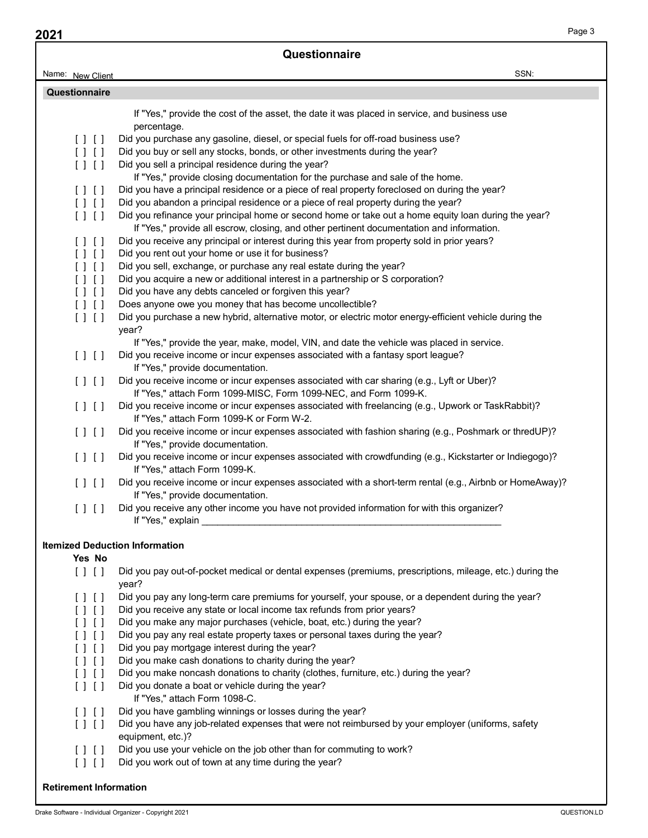| 2021                                  |                                                                                                                                                                                                                                                      |        |
|---------------------------------------|------------------------------------------------------------------------------------------------------------------------------------------------------------------------------------------------------------------------------------------------------|--------|
|                                       | Questionnaire                                                                                                                                                                                                                                        | Page 3 |
| Name: New Client                      | SSN:                                                                                                                                                                                                                                                 |        |
| Questionnaire                         |                                                                                                                                                                                                                                                      |        |
|                                       |                                                                                                                                                                                                                                                      |        |
|                                       | If "Yes," provide the cost of the asset, the date it was placed in service, and business use<br>percentage.                                                                                                                                          |        |
| $\Box$                                | Did you purchase any gasoline, diesel, or special fuels for off-road business use?                                                                                                                                                                   |        |
| [1]                                   | Did you buy or sell any stocks, bonds, or other investments during the year?                                                                                                                                                                         |        |
| [ ] [ ]                               | Did you sell a principal residence during the year?                                                                                                                                                                                                  |        |
|                                       | If "Yes," provide closing documentation for the purchase and sale of the home.                                                                                                                                                                       |        |
| [1]<br>[1]                            | Did you have a principal residence or a piece of real property foreclosed on during the year?<br>Did you abandon a principal residence or a piece of real property during the year?                                                                  |        |
| [1]                                   | Did you refinance your principal home or second home or take out a home equity loan during the year?                                                                                                                                                 |        |
|                                       | If "Yes," provide all escrow, closing, and other pertinent documentation and information.                                                                                                                                                            |        |
| [11]                                  | Did you receive any principal or interest during this year from property sold in prior years?                                                                                                                                                        |        |
| [1]                                   | Did you rent out your home or use it for business?                                                                                                                                                                                                   |        |
| [11]                                  | Did you sell, exchange, or purchase any real estate during the year?                                                                                                                                                                                 |        |
| [ ] [ ]                               | Did you acquire a new or additional interest in a partnership or S corporation?<br>Did you have any debts canceled or forgiven this year?                                                                                                            |        |
| $[ \; ] \; [ \; ]$<br>[1]             | Does anyone owe you money that has become uncollectible?                                                                                                                                                                                             |        |
| $\begin{array}{c} \hline \end{array}$ | Did you purchase a new hybrid, alternative motor, or electric motor energy-efficient vehicle during the<br>year?                                                                                                                                     |        |
| [1]                                   | If "Yes," provide the year, make, model, VIN, and date the vehicle was placed in service.<br>Did you receive income or incur expenses associated with a fantasy sport league?<br>If "Yes," provide documentation.                                    |        |
| $\begin{array}{c} \hline \end{array}$ | Did you receive income or incur expenses associated with car sharing (e.g., Lyft or Uber)?<br>If "Yes," attach Form 1099-MISC, Form 1099-NEC, and Form 1099-K.                                                                                       |        |
| [11]                                  | Did you receive income or incur expenses associated with freelancing (e.g., Upwork or TaskRabbit)?<br>If "Yes," attach Form 1099-K or Form W-2.                                                                                                      |        |
| [1]                                   | Did you receive income or incur expenses associated with fashion sharing (e.g., Poshmark or thredUP)?<br>If "Yes," provide documentation.                                                                                                            |        |
| [11]                                  | Did you receive income or incur expenses associated with crowdfunding (e.g., Kickstarter or Indiegogo)?<br>If "Yes," attach Form 1099-K.<br>Did you receive income or incur expenses associated with a short-term rental (e.g., Airbnb or HomeAway)? |        |
| $\Box$                                | If "Yes," provide documentation.                                                                                                                                                                                                                     |        |
| $\Box$                                | Did you receive any other income you have not provided information for with this organizer?<br>If "Yes," explain and a state of the state of the state of the state of the state of the state of the state of                                        |        |
| Yes No                                | <b>Itemized Deduction Information</b>                                                                                                                                                                                                                |        |
| [11]                                  | Did you pay out-of-pocket medical or dental expenses (premiums, prescriptions, mileage, etc.) during the<br>year?                                                                                                                                    |        |
| $\Box$                                | Did you pay any long-term care premiums for yourself, your spouse, or a dependent during the year?                                                                                                                                                   |        |
| [11]                                  | Did you receive any state or local income tax refunds from prior years?                                                                                                                                                                              |        |
| [1]<br>[11]                           | Did you make any major purchases (vehicle, boat, etc.) during the year?<br>Did you pay any real estate property taxes or personal taxes during the year?                                                                                             |        |
| [1]                                   | Did you pay mortgage interest during the year?                                                                                                                                                                                                       |        |
| $[ ]$ $[ ]$                           | Did you make cash donations to charity during the year?                                                                                                                                                                                              |        |
| [1]                                   | Did you make noncash donations to charity (clothes, furniture, etc.) during the year?                                                                                                                                                                |        |
| [11]                                  | Did you donate a boat or vehicle during the year?                                                                                                                                                                                                    |        |
|                                       | If "Yes," attach Form 1098-C.                                                                                                                                                                                                                        |        |
| $\Box$<br>[1]                         | Did you have gambling winnings or losses during the year?<br>Did you have any job-related expenses that were not reimbursed by your employer (uniforms, safety                                                                                       |        |
|                                       | equipment, etc.)?<br>[] [] Did you use your vehicle on the job other than for commuting to work?                                                                                                                                                     |        |
| [11]                                  | Did you work out of town at any time during the year?                                                                                                                                                                                                |        |
| <b>Retirement Information</b>         |                                                                                                                                                                                                                                                      |        |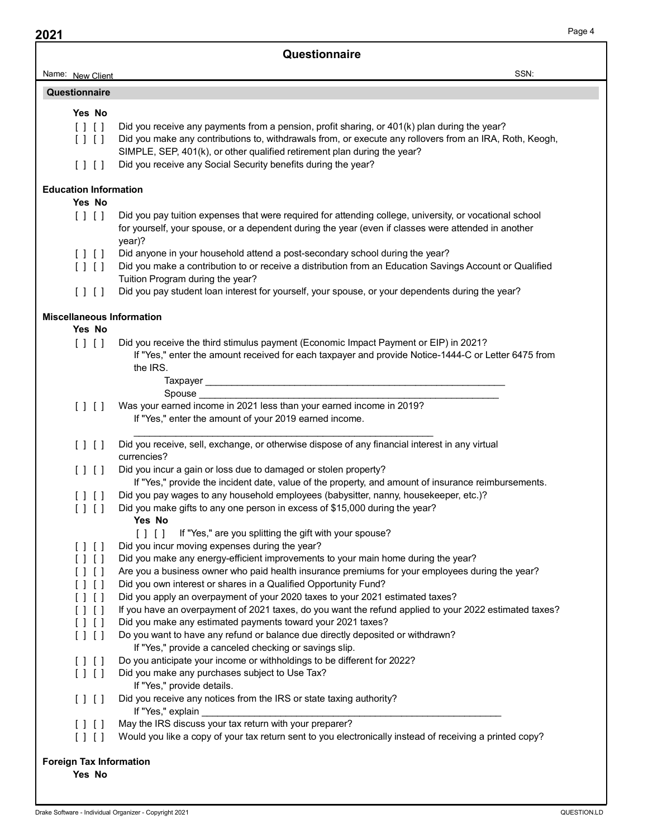| SSN:<br>Name: New Client<br>Questionnaire<br>Yes No<br>Did you receive any payments from a pension, profit sharing, or 401(k) plan during the year?<br>[11]<br>Did you make any contributions to, withdrawals from, or execute any rollovers from an IRA, Roth, Keogh,<br>[ ] [ ]<br>SIMPLE, SEP, 401(k), or other qualified retirement plan during the year?<br>Did you receive any Social Security benefits during the year?<br>[11]<br>Yes No<br>Did you pay tuition expenses that were required for attending college, university, or vocational school<br>[ ] [ ]<br>for yourself, your spouse, or a dependent during the year (even if classes were attended in another<br>year)?<br>Did anyone in your household attend a post-secondary school during the year?<br>[11]<br>Did you make a contribution to or receive a distribution from an Education Savings Account or Qualified<br>[ ] [ ]<br>Tuition Program during the year?<br>Did you pay student loan interest for yourself, your spouse, or your dependents during the year?<br>[11]<br>Yes No<br>[1]<br>Did you receive the third stimulus payment (Economic Impact Payment or EIP) in 2021?<br>If "Yes," enter the amount received for each taxpayer and provide Notice-1444-C or Letter 6475 from<br>the IRS.<br>Was your earned income in 2021 less than your earned income in 2019?<br>[11]<br>If "Yes," enter the amount of your 2019 earned income.<br>Did you receive, sell, exchange, or otherwise dispose of any financial interest in any virtual<br>[1]<br>currencies?<br>Did you incur a gain or loss due to damaged or stolen property?<br>[11]<br>If "Yes," provide the incident date, value of the property, and amount of insurance reimbursements.<br>Did you pay wages to any household employees (babysitter, nanny, housekeeper, etc.)?<br>1 1 1 1<br>Did you make gifts to any one person in excess of \$15,000 during the year?<br>[11]<br>Yes No<br>If "Yes," are you splitting the gift with your spouse?<br>[1]<br>Did you incur moving expenses during the year?<br>$\Box$<br>Did you make any energy-efficient improvements to your main home during the year?<br>1 1 1 1<br>Are you a business owner who paid health insurance premiums for your employees during the year?<br>Did you own interest or shares in a Qualified Opportunity Fund?<br>Did you apply an overpayment of your 2020 taxes to your 2021 estimated taxes?<br>1 1 1 1<br>If you have an overpayment of 2021 taxes, do you want the refund applied to your 2022 estimated taxes?<br>Did you make any estimated payments toward your 2021 taxes?<br>1 1 1 1<br>Do you want to have any refund or balance due directly deposited or withdrawn?<br>$[ ]$ $[ ]$<br>If "Yes," provide a canceled checking or savings slip.<br>Do you anticipate your income or withholdings to be different for 2022?<br>1111<br>Did you make any purchases subject to Use Tax?<br>$\begin{bmatrix} 1 & 1 \\ 1 & 1 \end{bmatrix}$<br>If "Yes," provide details.<br>Did you receive any notices from the IRS or state taxing authority?<br>[11]<br>If "Yes," explain<br>May the IRS discuss your tax return with your preparer?<br>[1]<br>Would you like a copy of your tax return sent to you electronically instead of receiving a printed copy?<br>[11]<br>Yes No |  |               | Page 4 |
|------------------------------------------------------------------------------------------------------------------------------------------------------------------------------------------------------------------------------------------------------------------------------------------------------------------------------------------------------------------------------------------------------------------------------------------------------------------------------------------------------------------------------------------------------------------------------------------------------------------------------------------------------------------------------------------------------------------------------------------------------------------------------------------------------------------------------------------------------------------------------------------------------------------------------------------------------------------------------------------------------------------------------------------------------------------------------------------------------------------------------------------------------------------------------------------------------------------------------------------------------------------------------------------------------------------------------------------------------------------------------------------------------------------------------------------------------------------------------------------------------------------------------------------------------------------------------------------------------------------------------------------------------------------------------------------------------------------------------------------------------------------------------------------------------------------------------------------------------------------------------------------------------------------------------------------------------------------------------------------------------------------------------------------------------------------------------------------------------------------------------------------------------------------------------------------------------------------------------------------------------------------------------------------------------------------------------------------------------------------------------------------------------------------------------------------------------------------------------------------------------------------------------------------------------------------------------------------------------------------------------------------------------------------------------------------------------------------------------------------------------------------------------------------------------------------------------------------------------------------------------------------------------------------------------------------------------------------------------------------------------------------------------------------------------------------------------------------------------------------------------------------------------------------------------------------------------------------------------------------------------------------------------------------------------------------|--|---------------|--------|
|                                                                                                                                                                                                                                                                                                                                                                                                                                                                                                                                                                                                                                                                                                                                                                                                                                                                                                                                                                                                                                                                                                                                                                                                                                                                                                                                                                                                                                                                                                                                                                                                                                                                                                                                                                                                                                                                                                                                                                                                                                                                                                                                                                                                                                                                                                                                                                                                                                                                                                                                                                                                                                                                                                                                                                                                                                                                                                                                                                                                                                                                                                                                                                                                                                                                                                                  |  | Questionnaire |        |
| <b>Education Information</b><br><b>Foreign Tax Information</b>                                                                                                                                                                                                                                                                                                                                                                                                                                                                                                                                                                                                                                                                                                                                                                                                                                                                                                                                                                                                                                                                                                                                                                                                                                                                                                                                                                                                                                                                                                                                                                                                                                                                                                                                                                                                                                                                                                                                                                                                                                                                                                                                                                                                                                                                                                                                                                                                                                                                                                                                                                                                                                                                                                                                                                                                                                                                                                                                                                                                                                                                                                                                                                                                                                                   |  |               |        |
|                                                                                                                                                                                                                                                                                                                                                                                                                                                                                                                                                                                                                                                                                                                                                                                                                                                                                                                                                                                                                                                                                                                                                                                                                                                                                                                                                                                                                                                                                                                                                                                                                                                                                                                                                                                                                                                                                                                                                                                                                                                                                                                                                                                                                                                                                                                                                                                                                                                                                                                                                                                                                                                                                                                                                                                                                                                                                                                                                                                                                                                                                                                                                                                                                                                                                                                  |  |               |        |
|                                                                                                                                                                                                                                                                                                                                                                                                                                                                                                                                                                                                                                                                                                                                                                                                                                                                                                                                                                                                                                                                                                                                                                                                                                                                                                                                                                                                                                                                                                                                                                                                                                                                                                                                                                                                                                                                                                                                                                                                                                                                                                                                                                                                                                                                                                                                                                                                                                                                                                                                                                                                                                                                                                                                                                                                                                                                                                                                                                                                                                                                                                                                                                                                                                                                                                                  |  |               |        |
|                                                                                                                                                                                                                                                                                                                                                                                                                                                                                                                                                                                                                                                                                                                                                                                                                                                                                                                                                                                                                                                                                                                                                                                                                                                                                                                                                                                                                                                                                                                                                                                                                                                                                                                                                                                                                                                                                                                                                                                                                                                                                                                                                                                                                                                                                                                                                                                                                                                                                                                                                                                                                                                                                                                                                                                                                                                                                                                                                                                                                                                                                                                                                                                                                                                                                                                  |  |               |        |
| <b>Miscellaneous Information</b>                                                                                                                                                                                                                                                                                                                                                                                                                                                                                                                                                                                                                                                                                                                                                                                                                                                                                                                                                                                                                                                                                                                                                                                                                                                                                                                                                                                                                                                                                                                                                                                                                                                                                                                                                                                                                                                                                                                                                                                                                                                                                                                                                                                                                                                                                                                                                                                                                                                                                                                                                                                                                                                                                                                                                                                                                                                                                                                                                                                                                                                                                                                                                                                                                                                                                 |  |               |        |
|                                                                                                                                                                                                                                                                                                                                                                                                                                                                                                                                                                                                                                                                                                                                                                                                                                                                                                                                                                                                                                                                                                                                                                                                                                                                                                                                                                                                                                                                                                                                                                                                                                                                                                                                                                                                                                                                                                                                                                                                                                                                                                                                                                                                                                                                                                                                                                                                                                                                                                                                                                                                                                                                                                                                                                                                                                                                                                                                                                                                                                                                                                                                                                                                                                                                                                                  |  |               |        |
|                                                                                                                                                                                                                                                                                                                                                                                                                                                                                                                                                                                                                                                                                                                                                                                                                                                                                                                                                                                                                                                                                                                                                                                                                                                                                                                                                                                                                                                                                                                                                                                                                                                                                                                                                                                                                                                                                                                                                                                                                                                                                                                                                                                                                                                                                                                                                                                                                                                                                                                                                                                                                                                                                                                                                                                                                                                                                                                                                                                                                                                                                                                                                                                                                                                                                                                  |  |               |        |
|                                                                                                                                                                                                                                                                                                                                                                                                                                                                                                                                                                                                                                                                                                                                                                                                                                                                                                                                                                                                                                                                                                                                                                                                                                                                                                                                                                                                                                                                                                                                                                                                                                                                                                                                                                                                                                                                                                                                                                                                                                                                                                                                                                                                                                                                                                                                                                                                                                                                                                                                                                                                                                                                                                                                                                                                                                                                                                                                                                                                                                                                                                                                                                                                                                                                                                                  |  |               |        |
|                                                                                                                                                                                                                                                                                                                                                                                                                                                                                                                                                                                                                                                                                                                                                                                                                                                                                                                                                                                                                                                                                                                                                                                                                                                                                                                                                                                                                                                                                                                                                                                                                                                                                                                                                                                                                                                                                                                                                                                                                                                                                                                                                                                                                                                                                                                                                                                                                                                                                                                                                                                                                                                                                                                                                                                                                                                                                                                                                                                                                                                                                                                                                                                                                                                                                                                  |  |               |        |
|                                                                                                                                                                                                                                                                                                                                                                                                                                                                                                                                                                                                                                                                                                                                                                                                                                                                                                                                                                                                                                                                                                                                                                                                                                                                                                                                                                                                                                                                                                                                                                                                                                                                                                                                                                                                                                                                                                                                                                                                                                                                                                                                                                                                                                                                                                                                                                                                                                                                                                                                                                                                                                                                                                                                                                                                                                                                                                                                                                                                                                                                                                                                                                                                                                                                                                                  |  |               |        |
|                                                                                                                                                                                                                                                                                                                                                                                                                                                                                                                                                                                                                                                                                                                                                                                                                                                                                                                                                                                                                                                                                                                                                                                                                                                                                                                                                                                                                                                                                                                                                                                                                                                                                                                                                                                                                                                                                                                                                                                                                                                                                                                                                                                                                                                                                                                                                                                                                                                                                                                                                                                                                                                                                                                                                                                                                                                                                                                                                                                                                                                                                                                                                                                                                                                                                                                  |  |               |        |
|                                                                                                                                                                                                                                                                                                                                                                                                                                                                                                                                                                                                                                                                                                                                                                                                                                                                                                                                                                                                                                                                                                                                                                                                                                                                                                                                                                                                                                                                                                                                                                                                                                                                                                                                                                                                                                                                                                                                                                                                                                                                                                                                                                                                                                                                                                                                                                                                                                                                                                                                                                                                                                                                                                                                                                                                                                                                                                                                                                                                                                                                                                                                                                                                                                                                                                                  |  |               |        |
|                                                                                                                                                                                                                                                                                                                                                                                                                                                                                                                                                                                                                                                                                                                                                                                                                                                                                                                                                                                                                                                                                                                                                                                                                                                                                                                                                                                                                                                                                                                                                                                                                                                                                                                                                                                                                                                                                                                                                                                                                                                                                                                                                                                                                                                                                                                                                                                                                                                                                                                                                                                                                                                                                                                                                                                                                                                                                                                                                                                                                                                                                                                                                                                                                                                                                                                  |  |               |        |
|                                                                                                                                                                                                                                                                                                                                                                                                                                                                                                                                                                                                                                                                                                                                                                                                                                                                                                                                                                                                                                                                                                                                                                                                                                                                                                                                                                                                                                                                                                                                                                                                                                                                                                                                                                                                                                                                                                                                                                                                                                                                                                                                                                                                                                                                                                                                                                                                                                                                                                                                                                                                                                                                                                                                                                                                                                                                                                                                                                                                                                                                                                                                                                                                                                                                                                                  |  |               |        |
|                                                                                                                                                                                                                                                                                                                                                                                                                                                                                                                                                                                                                                                                                                                                                                                                                                                                                                                                                                                                                                                                                                                                                                                                                                                                                                                                                                                                                                                                                                                                                                                                                                                                                                                                                                                                                                                                                                                                                                                                                                                                                                                                                                                                                                                                                                                                                                                                                                                                                                                                                                                                                                                                                                                                                                                                                                                                                                                                                                                                                                                                                                                                                                                                                                                                                                                  |  |               |        |
|                                                                                                                                                                                                                                                                                                                                                                                                                                                                                                                                                                                                                                                                                                                                                                                                                                                                                                                                                                                                                                                                                                                                                                                                                                                                                                                                                                                                                                                                                                                                                                                                                                                                                                                                                                                                                                                                                                                                                                                                                                                                                                                                                                                                                                                                                                                                                                                                                                                                                                                                                                                                                                                                                                                                                                                                                                                                                                                                                                                                                                                                                                                                                                                                                                                                                                                  |  |               |        |
|                                                                                                                                                                                                                                                                                                                                                                                                                                                                                                                                                                                                                                                                                                                                                                                                                                                                                                                                                                                                                                                                                                                                                                                                                                                                                                                                                                                                                                                                                                                                                                                                                                                                                                                                                                                                                                                                                                                                                                                                                                                                                                                                                                                                                                                                                                                                                                                                                                                                                                                                                                                                                                                                                                                                                                                                                                                                                                                                                                                                                                                                                                                                                                                                                                                                                                                  |  |               |        |
|                                                                                                                                                                                                                                                                                                                                                                                                                                                                                                                                                                                                                                                                                                                                                                                                                                                                                                                                                                                                                                                                                                                                                                                                                                                                                                                                                                                                                                                                                                                                                                                                                                                                                                                                                                                                                                                                                                                                                                                                                                                                                                                                                                                                                                                                                                                                                                                                                                                                                                                                                                                                                                                                                                                                                                                                                                                                                                                                                                                                                                                                                                                                                                                                                                                                                                                  |  |               |        |
|                                                                                                                                                                                                                                                                                                                                                                                                                                                                                                                                                                                                                                                                                                                                                                                                                                                                                                                                                                                                                                                                                                                                                                                                                                                                                                                                                                                                                                                                                                                                                                                                                                                                                                                                                                                                                                                                                                                                                                                                                                                                                                                                                                                                                                                                                                                                                                                                                                                                                                                                                                                                                                                                                                                                                                                                                                                                                                                                                                                                                                                                                                                                                                                                                                                                                                                  |  |               |        |
|                                                                                                                                                                                                                                                                                                                                                                                                                                                                                                                                                                                                                                                                                                                                                                                                                                                                                                                                                                                                                                                                                                                                                                                                                                                                                                                                                                                                                                                                                                                                                                                                                                                                                                                                                                                                                                                                                                                                                                                                                                                                                                                                                                                                                                                                                                                                                                                                                                                                                                                                                                                                                                                                                                                                                                                                                                                                                                                                                                                                                                                                                                                                                                                                                                                                                                                  |  |               |        |
|                                                                                                                                                                                                                                                                                                                                                                                                                                                                                                                                                                                                                                                                                                                                                                                                                                                                                                                                                                                                                                                                                                                                                                                                                                                                                                                                                                                                                                                                                                                                                                                                                                                                                                                                                                                                                                                                                                                                                                                                                                                                                                                                                                                                                                                                                                                                                                                                                                                                                                                                                                                                                                                                                                                                                                                                                                                                                                                                                                                                                                                                                                                                                                                                                                                                                                                  |  |               |        |
|                                                                                                                                                                                                                                                                                                                                                                                                                                                                                                                                                                                                                                                                                                                                                                                                                                                                                                                                                                                                                                                                                                                                                                                                                                                                                                                                                                                                                                                                                                                                                                                                                                                                                                                                                                                                                                                                                                                                                                                                                                                                                                                                                                                                                                                                                                                                                                                                                                                                                                                                                                                                                                                                                                                                                                                                                                                                                                                                                                                                                                                                                                                                                                                                                                                                                                                  |  |               |        |
|                                                                                                                                                                                                                                                                                                                                                                                                                                                                                                                                                                                                                                                                                                                                                                                                                                                                                                                                                                                                                                                                                                                                                                                                                                                                                                                                                                                                                                                                                                                                                                                                                                                                                                                                                                                                                                                                                                                                                                                                                                                                                                                                                                                                                                                                                                                                                                                                                                                                                                                                                                                                                                                                                                                                                                                                                                                                                                                                                                                                                                                                                                                                                                                                                                                                                                                  |  |               |        |
|                                                                                                                                                                                                                                                                                                                                                                                                                                                                                                                                                                                                                                                                                                                                                                                                                                                                                                                                                                                                                                                                                                                                                                                                                                                                                                                                                                                                                                                                                                                                                                                                                                                                                                                                                                                                                                                                                                                                                                                                                                                                                                                                                                                                                                                                                                                                                                                                                                                                                                                                                                                                                                                                                                                                                                                                                                                                                                                                                                                                                                                                                                                                                                                                                                                                                                                  |  |               |        |
|                                                                                                                                                                                                                                                                                                                                                                                                                                                                                                                                                                                                                                                                                                                                                                                                                                                                                                                                                                                                                                                                                                                                                                                                                                                                                                                                                                                                                                                                                                                                                                                                                                                                                                                                                                                                                                                                                                                                                                                                                                                                                                                                                                                                                                                                                                                                                                                                                                                                                                                                                                                                                                                                                                                                                                                                                                                                                                                                                                                                                                                                                                                                                                                                                                                                                                                  |  |               |        |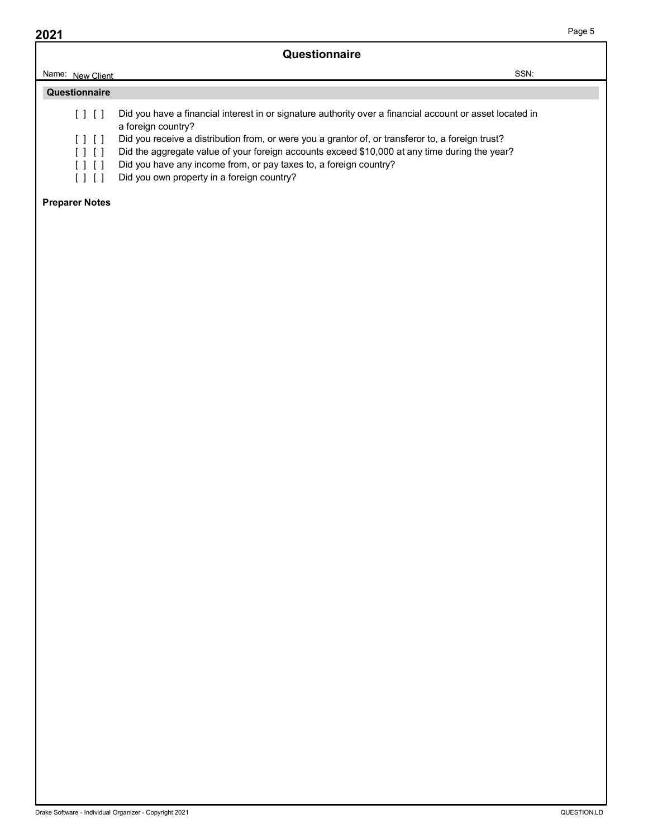|      |                       | Questionnaire                                                                                                                                                                                      | Page 5 |
|------|-----------------------|----------------------------------------------------------------------------------------------------------------------------------------------------------------------------------------------------|--------|
| 2021 | Name: New Client      | SSN:                                                                                                                                                                                               |        |
|      | Questionnaire         |                                                                                                                                                                                                    |        |
|      | $[ \ ] \ [ \ ]$       | Did you have a financial interest in or signature authority over a financial account or asset located in<br>a foreign country?                                                                     |        |
|      | [ ] [ ]<br>[ ] [ ]    | Did you receive a distribution from, or were you a grantor of, or transferor to, a foreign trust?<br>Did the aggregate value of your foreign accounts exceed \$10,000 at any time during the year? |        |
|      | [ ] [ ]<br>[ ] [ ]    | Did you have any income from, or pay taxes to, a foreign country?<br>Did you own property in a foreign country?                                                                                    |        |
|      | <b>Preparer Notes</b> |                                                                                                                                                                                                    |        |
|      |                       |                                                                                                                                                                                                    |        |

- 
- 
- 

#### Preparer Notes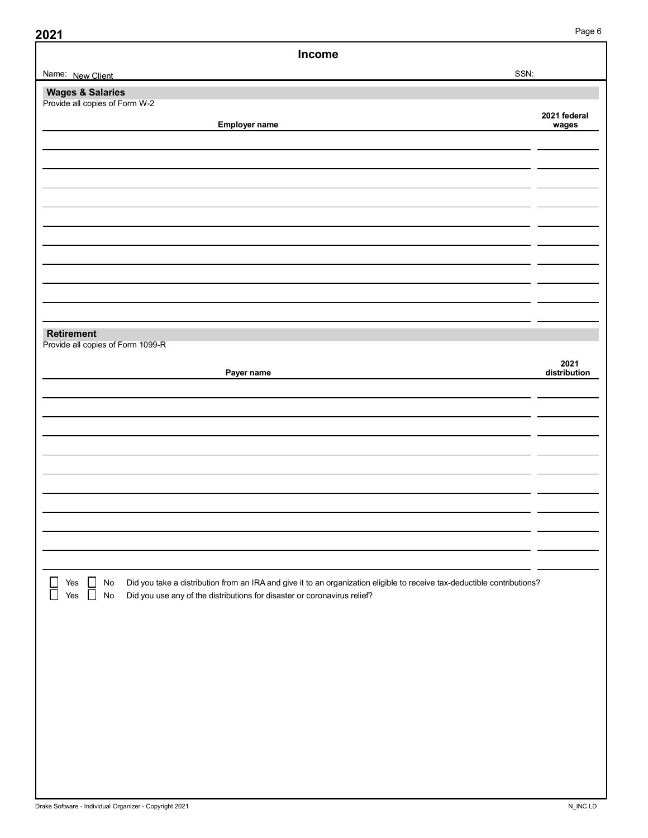| 2021 |
|------|
|------|

| Income                                                                                                                                                                                                                                                                             |                       |
|------------------------------------------------------------------------------------------------------------------------------------------------------------------------------------------------------------------------------------------------------------------------------------|-----------------------|
| Name: New Client                                                                                                                                                                                                                                                                   | SSN:                  |
| <b>Wages &amp; Salaries</b><br>Provide all copies of Form W-2                                                                                                                                                                                                                      |                       |
| Employer name                                                                                                                                                                                                                                                                      | 2021 federal<br>wages |
|                                                                                                                                                                                                                                                                                    |                       |
|                                                                                                                                                                                                                                                                                    |                       |
|                                                                                                                                                                                                                                                                                    |                       |
|                                                                                                                                                                                                                                                                                    |                       |
|                                                                                                                                                                                                                                                                                    |                       |
|                                                                                                                                                                                                                                                                                    |                       |
|                                                                                                                                                                                                                                                                                    |                       |
|                                                                                                                                                                                                                                                                                    |                       |
|                                                                                                                                                                                                                                                                                    |                       |
|                                                                                                                                                                                                                                                                                    |                       |
|                                                                                                                                                                                                                                                                                    |                       |
| Retirement<br>Provide all copies of Form 1099-R                                                                                                                                                                                                                                    |                       |
|                                                                                                                                                                                                                                                                                    |                       |
| Payer name                                                                                                                                                                                                                                                                         | 2021<br>distribution  |
|                                                                                                                                                                                                                                                                                    |                       |
|                                                                                                                                                                                                                                                                                    |                       |
|                                                                                                                                                                                                                                                                                    |                       |
|                                                                                                                                                                                                                                                                                    |                       |
|                                                                                                                                                                                                                                                                                    |                       |
|                                                                                                                                                                                                                                                                                    |                       |
|                                                                                                                                                                                                                                                                                    |                       |
|                                                                                                                                                                                                                                                                                    |                       |
|                                                                                                                                                                                                                                                                                    |                       |
|                                                                                                                                                                                                                                                                                    |                       |
| $\Box$<br>$\begin{bmatrix} 1 \\ 1 \end{bmatrix}$<br>Did you take a distribution from an IRA and give it to an organization eligible to receive tax-deductible contributions?<br>Yes<br>No<br>Did you use any of the distributions for disaster or coronavirus relief?<br>Yes<br>No |                       |
|                                                                                                                                                                                                                                                                                    |                       |
|                                                                                                                                                                                                                                                                                    |                       |
|                                                                                                                                                                                                                                                                                    |                       |
|                                                                                                                                                                                                                                                                                    |                       |
|                                                                                                                                                                                                                                                                                    |                       |
|                                                                                                                                                                                                                                                                                    |                       |
|                                                                                                                                                                                                                                                                                    |                       |
|                                                                                                                                                                                                                                                                                    |                       |
|                                                                                                                                                                                                                                                                                    |                       |
|                                                                                                                                                                                                                                                                                    |                       |
|                                                                                                                                                                                                                                                                                    |                       |
|                                                                                                                                                                                                                                                                                    |                       |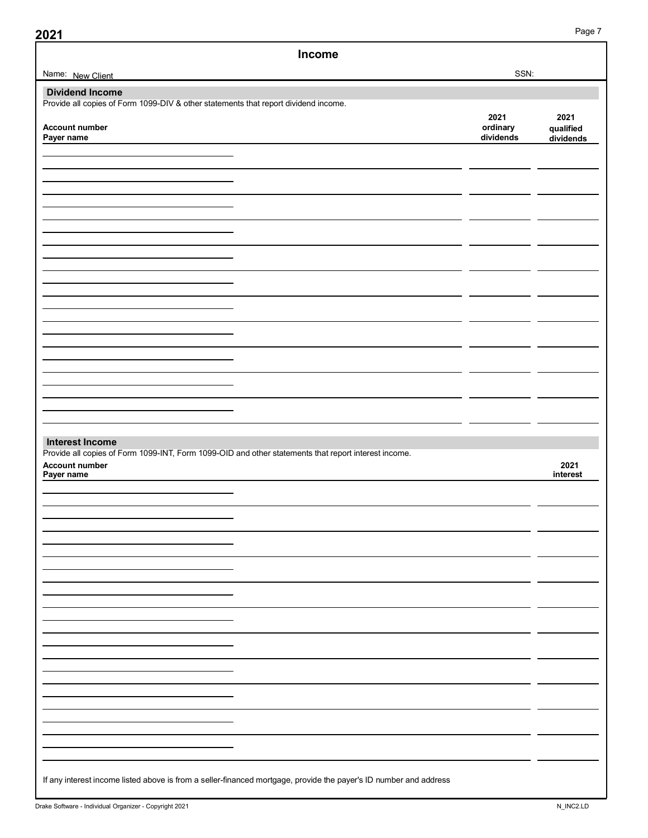| Income                                                                                                                 |                       |                        |
|------------------------------------------------------------------------------------------------------------------------|-----------------------|------------------------|
| Name: New Client                                                                                                       | SSN:                  |                        |
| <b>Dividend Income</b>                                                                                                 |                       |                        |
| Provide all copies of Form 1099-DIV & other statements that report dividend income.                                    | 2021                  | 2021                   |
| <b>Account number</b><br>Payer name                                                                                    | ordinary<br>dividends | qualified<br>dividends |
|                                                                                                                        |                       |                        |
|                                                                                                                        |                       |                        |
|                                                                                                                        |                       |                        |
|                                                                                                                        |                       |                        |
|                                                                                                                        |                       |                        |
|                                                                                                                        |                       |                        |
|                                                                                                                        |                       |                        |
|                                                                                                                        |                       |                        |
|                                                                                                                        |                       |                        |
|                                                                                                                        |                       |                        |
|                                                                                                                        |                       |                        |
|                                                                                                                        |                       |                        |
|                                                                                                                        |                       |                        |
| <b>Interest Income</b>                                                                                                 |                       |                        |
| Provide all copies of Form 1099-INT, Form 1099-OID and other statements that report interest income.<br>Account number |                       | 2021                   |
| Payer name                                                                                                             |                       | interest               |
|                                                                                                                        |                       |                        |
|                                                                                                                        |                       |                        |
|                                                                                                                        |                       |                        |
|                                                                                                                        |                       |                        |
|                                                                                                                        |                       |                        |
|                                                                                                                        |                       |                        |
|                                                                                                                        |                       |                        |
|                                                                                                                        |                       |                        |
|                                                                                                                        |                       |                        |
|                                                                                                                        |                       |                        |
|                                                                                                                        |                       |                        |
|                                                                                                                        |                       |                        |
|                                                                                                                        |                       |                        |
|                                                                                                                        |                       |                        |
| If any interest income listed above is from a seller-financed mortgage, provide the payer's ID number and address      |                       |                        |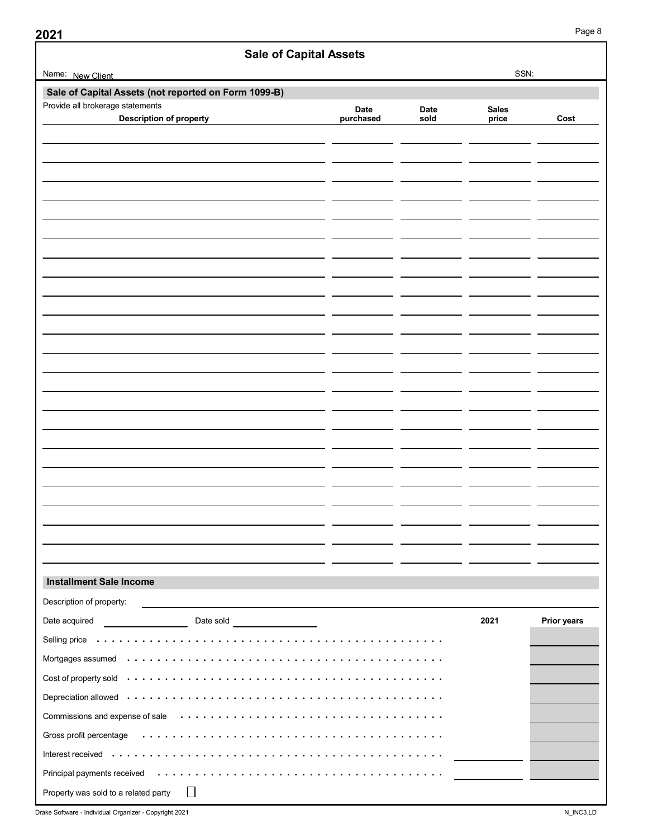Sale of Capital Assets (not reported on Form 1099-B) Installment Sale Income Sale of Capital Assets Page 8<br>
SSN:<br>
Date Date Sales<br>
Page 8<br>
Date Date Sales<br>
price Cost<br>
Page 8<br>
Date Date Sales<br>
price Cost<br>
Page 2<br>
Price Cost Sale of Capital Assets<br>
SSN:<br>
SSN:<br>
Statements<br>
Description of property<br>
Description of property<br>
Description of property<br>
Description of property<br>
Description of property<br>
Description of property<br>
Description of property<br> 2021 Prior years 921<br>
Sale of Capital Assets<br>
Name: New Client<br>
Sale of Capital Assets (not reported on Form 1099-B)<br>
Provide all brokerage statements<br>
Description of property<br>
Description of property<br>
Description of property Provide all brokerage statements Description of property: Installment Sale Income<br>
Installment Sale Income<br>
Date society:<br>Date society of property.<br>
Date society of property and control control of property and control of property and control of property and control of property an Selling price . . . . Mortgages assumed Cost of property sold . Depreciation allowed Commissions and expense of sale Gross profit percentage Interest received . . . . . Principal payments received Property was sold to a related party  $\Box$ **Example Software Software - Individual Organizer - Copyright 2021**<br>
Date socializer of property.<br>
Date socializer - individual Organizer - Date solid<br>
Dempediation allows content of the content of the content of the con . . . . . . . . . . . . . . . . . . . . . . . . . . . . . . . . . . . . . . . . . . . . . . . . . . . . . . . . . . . . . . . . . . . . . . . . . . . . . . . . . . . . . . . . . . . . . . . . . . . . . . . . . . . . . . . . . . . . . . . . . . . . . . . . . . . . . . . . . . . . . . . . . . . . . . . . . . . . . . . . . . . . . . . . . . . . . . . . . . . . . . . . . . . . . . . . . . . . . . . . . . . . . . . . . . . . . . . . . . . . . . . . . . . . . . . . . . . . . . . . . . . . . . . . . . . . . . . . . . . . . . . . . . . . . . . . . . . . . . . . . . . . . . . . . . . . . . . . . . . . . . . . . . . . . . . . . . . . . . . . . . . . . . . . . Name: New Client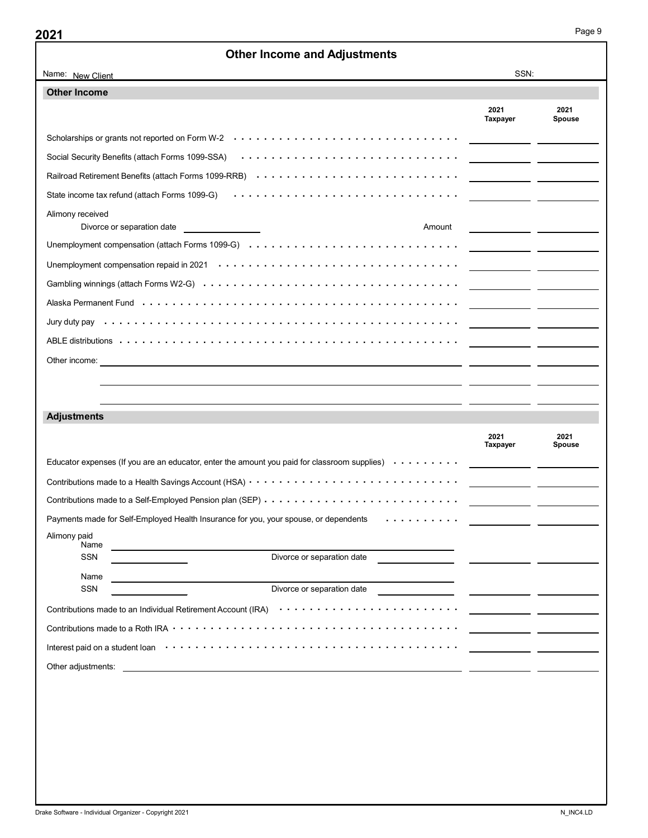| <b>Other Income and Adjustments</b><br>SSN:<br>Name: New Client<br><b>Other Income</b><br>2021<br>2021<br>Taxpayer<br><b>Spouse</b><br>Scholarships or grants not reported on Form W-2<br>Social Security Benefits (attach Forms 1099-SSA) (and contact of a state of a state of security Benefits (attach Forms 1099-SSA)<br>Railroad Retirement Benefits (attach Forms 1099-RRB) Arrows Arrows Arrows Arrows Arrows Arrows Arrow<br>State income tax refund (attach Forms 1099-G)<br>Alimony received<br>Divorce or separation date<br>Amount<br><u> 1990 - Jan Samuel Barbara, martin al-Amerikaansk politik (</u> † 1920)<br><b>Adjustments</b><br>2021<br>2021<br>Taxpayer<br>Spouse<br>Payments made for Self-Employed Health Insurance for you, your spouse, or dependents<br>Alimony paid<br>Name<br>Divorce or separation date<br>SSN<br>Name<br>the control of the control of the control of the control of the control of the control of the control of the control of the control of the control of the control of the control of the control of the control of the control<br>SSN | Page 9 |
|------------------------------------------------------------------------------------------------------------------------------------------------------------------------------------------------------------------------------------------------------------------------------------------------------------------------------------------------------------------------------------------------------------------------------------------------------------------------------------------------------------------------------------------------------------------------------------------------------------------------------------------------------------------------------------------------------------------------------------------------------------------------------------------------------------------------------------------------------------------------------------------------------------------------------------------------------------------------------------------------------------------------------------------------------------------------------------------------|--------|
|                                                                                                                                                                                                                                                                                                                                                                                                                                                                                                                                                                                                                                                                                                                                                                                                                                                                                                                                                                                                                                                                                                |        |
| Alaska Permanent Fund (al. 1990) (al. 1991) (al. 1991) (al. 1991) (al. 1991) (al. 1991) (al. 1992) (al. 1992)                                                                                                                                                                                                                                                                                                                                                                                                                                                                                                                                                                                                                                                                                                                                                                                                                                                                                                                                                                                  |        |
|                                                                                                                                                                                                                                                                                                                                                                                                                                                                                                                                                                                                                                                                                                                                                                                                                                                                                                                                                                                                                                                                                                |        |
|                                                                                                                                                                                                                                                                                                                                                                                                                                                                                                                                                                                                                                                                                                                                                                                                                                                                                                                                                                                                                                                                                                |        |
|                                                                                                                                                                                                                                                                                                                                                                                                                                                                                                                                                                                                                                                                                                                                                                                                                                                                                                                                                                                                                                                                                                |        |
|                                                                                                                                                                                                                                                                                                                                                                                                                                                                                                                                                                                                                                                                                                                                                                                                                                                                                                                                                                                                                                                                                                |        |
|                                                                                                                                                                                                                                                                                                                                                                                                                                                                                                                                                                                                                                                                                                                                                                                                                                                                                                                                                                                                                                                                                                |        |
|                                                                                                                                                                                                                                                                                                                                                                                                                                                                                                                                                                                                                                                                                                                                                                                                                                                                                                                                                                                                                                                                                                |        |
|                                                                                                                                                                                                                                                                                                                                                                                                                                                                                                                                                                                                                                                                                                                                                                                                                                                                                                                                                                                                                                                                                                |        |
|                                                                                                                                                                                                                                                                                                                                                                                                                                                                                                                                                                                                                                                                                                                                                                                                                                                                                                                                                                                                                                                                                                |        |
|                                                                                                                                                                                                                                                                                                                                                                                                                                                                                                                                                                                                                                                                                                                                                                                                                                                                                                                                                                                                                                                                                                |        |
|                                                                                                                                                                                                                                                                                                                                                                                                                                                                                                                                                                                                                                                                                                                                                                                                                                                                                                                                                                                                                                                                                                |        |
|                                                                                                                                                                                                                                                                                                                                                                                                                                                                                                                                                                                                                                                                                                                                                                                                                                                                                                                                                                                                                                                                                                |        |
|                                                                                                                                                                                                                                                                                                                                                                                                                                                                                                                                                                                                                                                                                                                                                                                                                                                                                                                                                                                                                                                                                                |        |
|                                                                                                                                                                                                                                                                                                                                                                                                                                                                                                                                                                                                                                                                                                                                                                                                                                                                                                                                                                                                                                                                                                |        |
|                                                                                                                                                                                                                                                                                                                                                                                                                                                                                                                                                                                                                                                                                                                                                                                                                                                                                                                                                                                                                                                                                                |        |
|                                                                                                                                                                                                                                                                                                                                                                                                                                                                                                                                                                                                                                                                                                                                                                                                                                                                                                                                                                                                                                                                                                |        |
|                                                                                                                                                                                                                                                                                                                                                                                                                                                                                                                                                                                                                                                                                                                                                                                                                                                                                                                                                                                                                                                                                                |        |
|                                                                                                                                                                                                                                                                                                                                                                                                                                                                                                                                                                                                                                                                                                                                                                                                                                                                                                                                                                                                                                                                                                |        |
|                                                                                                                                                                                                                                                                                                                                                                                                                                                                                                                                                                                                                                                                                                                                                                                                                                                                                                                                                                                                                                                                                                |        |
|                                                                                                                                                                                                                                                                                                                                                                                                                                                                                                                                                                                                                                                                                                                                                                                                                                                                                                                                                                                                                                                                                                |        |
|                                                                                                                                                                                                                                                                                                                                                                                                                                                                                                                                                                                                                                                                                                                                                                                                                                                                                                                                                                                                                                                                                                |        |
|                                                                                                                                                                                                                                                                                                                                                                                                                                                                                                                                                                                                                                                                                                                                                                                                                                                                                                                                                                                                                                                                                                |        |
|                                                                                                                                                                                                                                                                                                                                                                                                                                                                                                                                                                                                                                                                                                                                                                                                                                                                                                                                                                                                                                                                                                |        |
|                                                                                                                                                                                                                                                                                                                                                                                                                                                                                                                                                                                                                                                                                                                                                                                                                                                                                                                                                                                                                                                                                                |        |
|                                                                                                                                                                                                                                                                                                                                                                                                                                                                                                                                                                                                                                                                                                                                                                                                                                                                                                                                                                                                                                                                                                |        |
|                                                                                                                                                                                                                                                                                                                                                                                                                                                                                                                                                                                                                                                                                                                                                                                                                                                                                                                                                                                                                                                                                                |        |
|                                                                                                                                                                                                                                                                                                                                                                                                                                                                                                                                                                                                                                                                                                                                                                                                                                                                                                                                                                                                                                                                                                |        |
|                                                                                                                                                                                                                                                                                                                                                                                                                                                                                                                                                                                                                                                                                                                                                                                                                                                                                                                                                                                                                                                                                                |        |
|                                                                                                                                                                                                                                                                                                                                                                                                                                                                                                                                                                                                                                                                                                                                                                                                                                                                                                                                                                                                                                                                                                |        |
|                                                                                                                                                                                                                                                                                                                                                                                                                                                                                                                                                                                                                                                                                                                                                                                                                                                                                                                                                                                                                                                                                                |        |
|                                                                                                                                                                                                                                                                                                                                                                                                                                                                                                                                                                                                                                                                                                                                                                                                                                                                                                                                                                                                                                                                                                |        |
|                                                                                                                                                                                                                                                                                                                                                                                                                                                                                                                                                                                                                                                                                                                                                                                                                                                                                                                                                                                                                                                                                                |        |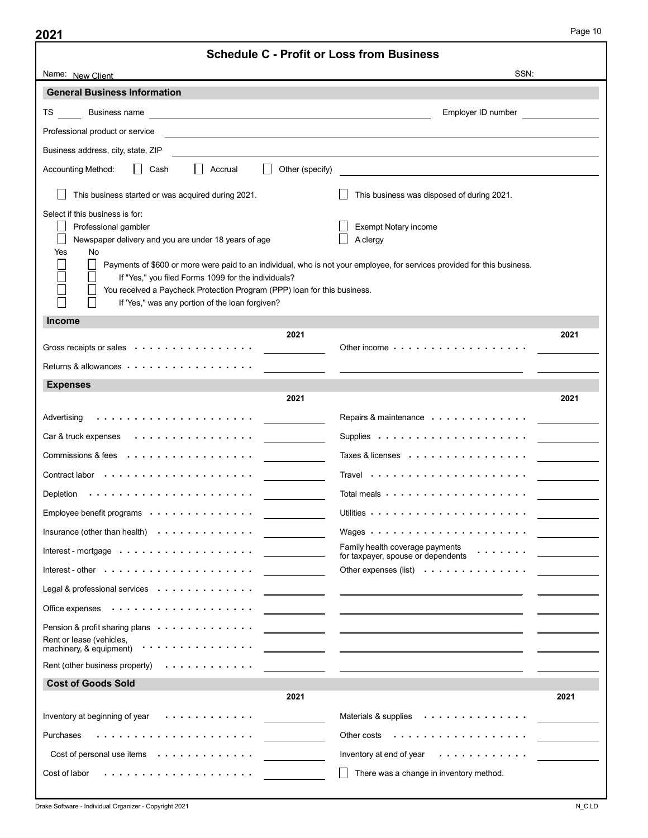| 2021                                                                                                                                                                                                                                                                                                                                                                                                                                                                     |                        | <b>Schedule C - Profit or Loss from Business</b>                                                                         |      |
|--------------------------------------------------------------------------------------------------------------------------------------------------------------------------------------------------------------------------------------------------------------------------------------------------------------------------------------------------------------------------------------------------------------------------------------------------------------------------|------------------------|--------------------------------------------------------------------------------------------------------------------------|------|
| Name: New Client                                                                                                                                                                                                                                                                                                                                                                                                                                                         |                        | SSN:                                                                                                                     |      |
| <b>General Business Information</b>                                                                                                                                                                                                                                                                                                                                                                                                                                      |                        |                                                                                                                          |      |
|                                                                                                                                                                                                                                                                                                                                                                                                                                                                          |                        | Employer ID number                                                                                                       |      |
| Professional product or service                                                                                                                                                                                                                                                                                                                                                                                                                                          |                        | <u> 1989 - Johann Barn, fransk politik amerikansk politik (</u>                                                          |      |
| Business address, city, state, ZIP                                                                                                                                                                                                                                                                                                                                                                                                                                       |                        | <u> 1980 - John Stein, Amerikaansk politiker (* 1950)</u>                                                                |      |
| │ │ Cash<br>$\Box$ Accrual<br>Accounting Method:                                                                                                                                                                                                                                                                                                                                                                                                                         | $\Box$ Other (specify) |                                                                                                                          |      |
| $\Box$ This business started or was acquired during 2021.                                                                                                                                                                                                                                                                                                                                                                                                                |                        | $\Box$ This business was disposed of during 2021.                                                                        |      |
| Select if this business is for:                                                                                                                                                                                                                                                                                                                                                                                                                                          |                        |                                                                                                                          |      |
| Professional gambler<br>Newspaper delivery and you are under 18 years of age                                                                                                                                                                                                                                                                                                                                                                                             |                        | Exempt Notary income<br>$\Box$ A clergy                                                                                  |      |
| Yes<br>No                                                                                                                                                                                                                                                                                                                                                                                                                                                                |                        | Payments of \$600 or more were paid to an individual, who is not your employee, for services provided for this business. |      |
| If "Yes," you filed Forms 1099 for the individuals?<br>You received a Paycheck Protection Program (PPP) loan for this business.<br>If 'Yes," was any portion of the loan forgiven?                                                                                                                                                                                                                                                                                       |                        |                                                                                                                          |      |
| <b>Income</b>                                                                                                                                                                                                                                                                                                                                                                                                                                                            |                        |                                                                                                                          |      |
|                                                                                                                                                                                                                                                                                                                                                                                                                                                                          | 2021                   |                                                                                                                          | 2021 |
| Gross receipts or sales with the context of the sales of the context of the context of the context of the context of the context of the context of the context of the context of the context of the context of the context of                                                                                                                                                                                                                                            |                        | Other income $\cdots$ , $\cdots$ , $\cdots$ , $\cdots$ , $\cdots$ , $\cdots$                                             |      |
|                                                                                                                                                                                                                                                                                                                                                                                                                                                                          |                        |                                                                                                                          |      |
| Returns & allowances $\cdots$ , $\cdots$ , $\cdots$ , $\cdots$ , $\cdots$ , $\cdots$                                                                                                                                                                                                                                                                                                                                                                                     |                        | <u> 1980 - Jan James James James James James James James James James James James James James James James James J</u>     |      |
| <b>Expenses</b>                                                                                                                                                                                                                                                                                                                                                                                                                                                          |                        |                                                                                                                          |      |
|                                                                                                                                                                                                                                                                                                                                                                                                                                                                          | 2021                   |                                                                                                                          | 2021 |
|                                                                                                                                                                                                                                                                                                                                                                                                                                                                          |                        | Repairs & maintenance                                                                                                    |      |
| Car & truck expenses $\cdots$ , $\cdots$ , $\cdots$ , $\cdots$                                                                                                                                                                                                                                                                                                                                                                                                           |                        | Taxes & licenses                                                                                                         |      |
|                                                                                                                                                                                                                                                                                                                                                                                                                                                                          |                        |                                                                                                                          |      |
|                                                                                                                                                                                                                                                                                                                                                                                                                                                                          |                        |                                                                                                                          |      |
| Employee benefit programs                                                                                                                                                                                                                                                                                                                                                                                                                                                |                        |                                                                                                                          |      |
| Insurance (other than health) $\cdots$ , $\cdots$ , $\cdots$                                                                                                                                                                                                                                                                                                                                                                                                             |                        |                                                                                                                          |      |
| $\text{Interest - mortgage} \quad \text{} \quad \text{} \quad \text{} \quad \text{} \quad \text{} \quad \text{} \quad \text{} \quad \text{} \quad \text{} \quad \text{} \quad \text{} \quad \text{} \quad \text{} \quad \text{} \quad \text{} \quad \text{} \quad \text{} \quad \text{} \quad \text{} \quad \text{} \quad \text{} \quad \text{} \quad \text{} \quad \text{} \quad \text{} \quad \text{} \quad \text{} \quad \text{} \quad \text{} \quad \text{} \quad \$ |                        | Family health coverage payments<br>$\mathcal{A}$ is a set of the set of $\mathcal{A}$                                    |      |
| Interest - other $\cdots \cdots \cdots \cdots$                                                                                                                                                                                                                                                                                                                                                                                                                           |                        | for taxpayer, spouse or dependents                                                                                       |      |
| Legal & professional services                                                                                                                                                                                                                                                                                                                                                                                                                                            |                        |                                                                                                                          |      |
|                                                                                                                                                                                                                                                                                                                                                                                                                                                                          |                        |                                                                                                                          |      |
| Pension & profit sharing plans                                                                                                                                                                                                                                                                                                                                                                                                                                           |                        | <u> 1989 - Johann Stein, skrivatsk politik († 1908)</u>                                                                  |      |
| Rent or lease (vehicles,<br>machinery, & equipment)                                                                                                                                                                                                                                                                                                                                                                                                                      |                        | <u> 1999 - Jan James Alexandro III (m. 1918)</u>                                                                         |      |
| Rent (other business property)                                                                                                                                                                                                                                                                                                                                                                                                                                           |                        | <u> 1989 - Johann John Stone, mars et al. (1989)</u>                                                                     |      |
| <b>Cost of Goods Sold</b>                                                                                                                                                                                                                                                                                                                                                                                                                                                |                        |                                                                                                                          |      |
|                                                                                                                                                                                                                                                                                                                                                                                                                                                                          | 2021                   |                                                                                                                          | 2021 |
| Inventory at beginning of year<br>.                                                                                                                                                                                                                                                                                                                                                                                                                                      |                        | Materials & supplies                                                                                                     |      |
| Purchases                                                                                                                                                                                                                                                                                                                                                                                                                                                                |                        | Other costs                                                                                                              |      |
| Cost of personal use items                                                                                                                                                                                                                                                                                                                                                                                                                                               |                        | Inventory at end of year $\cdots$ ,<br>$\Box$ There was a change in inventory method.                                    |      |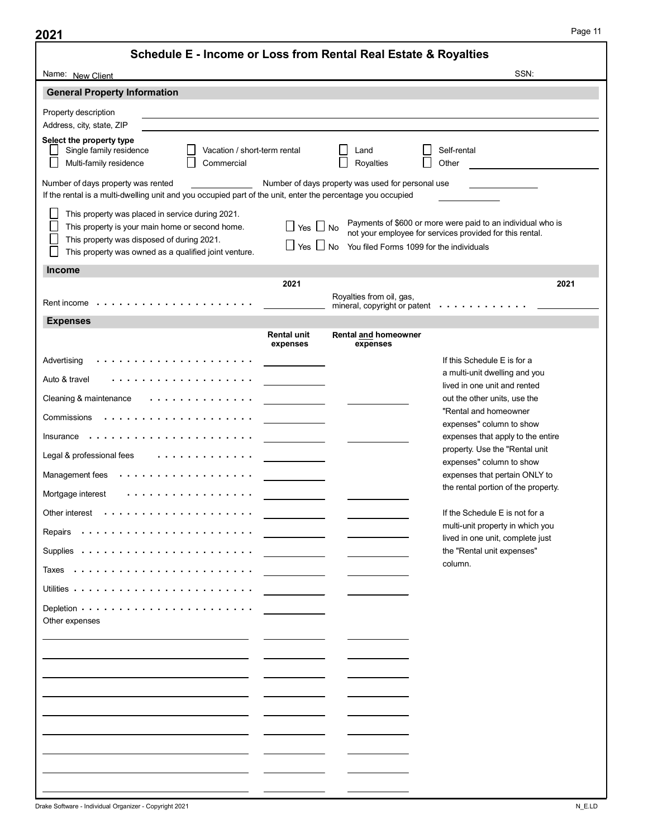| Schedule E - Income or Loss from Rental Real Estate & Royalties<br>Name: New Client                                                                                   |                                                                                                                      |                                                               |                                                                                                                         |
|-----------------------------------------------------------------------------------------------------------------------------------------------------------------------|----------------------------------------------------------------------------------------------------------------------|---------------------------------------------------------------|-------------------------------------------------------------------------------------------------------------------------|
|                                                                                                                                                                       |                                                                                                                      |                                                               | SSN:                                                                                                                    |
| <b>General Property Information</b>                                                                                                                                   |                                                                                                                      |                                                               |                                                                                                                         |
| Property description                                                                                                                                                  |                                                                                                                      |                                                               |                                                                                                                         |
| Address, city, state, ZIP                                                                                                                                             |                                                                                                                      |                                                               |                                                                                                                         |
| Select the property type<br>$\mathsf{L}$<br>Single family residence<br>Vacation / short-term rental<br>$\Box$                                                         |                                                                                                                      | $\mathsf{L}$<br>Land                                          | Self-rental                                                                                                             |
| $\Box$<br>$\Box$<br>Multi-family residence<br>Commercial                                                                                                              |                                                                                                                      | Royalties                                                     | Other                                                                                                                   |
| Number of days property was rented<br>If the rental is a multi-dwelling unit and you occupied part of the unit, enter the percentage you occupied                     |                                                                                                                      | Number of days property was used for personal use             |                                                                                                                         |
| This property was placed in service during 2021.<br>⊔<br>$\Box$<br>This property is your main home or second home.<br>⊔<br>This property was disposed of during 2021. | $\Box$ Yes $\Box$ No                                                                                                 |                                                               | Payments of \$600 or more were paid to an individual who is<br>not your employee for services provided for this rental. |
| $\sqcup$<br>This property was owned as a qualified joint venture.                                                                                                     |                                                                                                                      | $\Box$ Yes $\Box$ No You filed Forms 1099 for the individuals |                                                                                                                         |
| <b>Income</b>                                                                                                                                                         |                                                                                                                      |                                                               | 2021                                                                                                                    |
|                                                                                                                                                                       | 2021                                                                                                                 | Royalties from oil, gas,                                      |                                                                                                                         |
| <b>Expenses</b>                                                                                                                                                       |                                                                                                                      |                                                               | mineral, copyright or patent ________                                                                                   |
|                                                                                                                                                                       | <b>Rental unit</b>                                                                                                   | Rental and homeowner                                          |                                                                                                                         |
|                                                                                                                                                                       | expenses                                                                                                             | expenses                                                      | If this Schedule E is for a                                                                                             |
| Auto & travel                                                                                                                                                         | <u> 1999 - Jan Barbara Barat, prima prima prima prima prima prima prima prima prima prima prima prima prima prim</u> |                                                               | a multi-unit dwelling and you                                                                                           |
| Cleaning & maintenance                                                                                                                                                |                                                                                                                      |                                                               | lived in one unit and rented<br>out the other units, use the                                                            |
|                                                                                                                                                                       |                                                                                                                      |                                                               | "Rental and homeowner<br>expenses" column to show                                                                       |
| Insurance $\cdots$ , $\cdots$ , $\cdots$ , $\cdots$ , $\cdots$ , $\cdots$ , $\cdots$ , $\cdots$                                                                       |                                                                                                                      |                                                               | expenses that apply to the entire                                                                                       |
| Legal & professional fees<br>.                                                                                                                                        |                                                                                                                      |                                                               | property. Use the "Rental unit<br>expenses" column to show                                                              |
| Management fees                                                                                                                                                       |                                                                                                                      |                                                               | expenses that pertain ONLY to                                                                                           |
| Mortgage interest                                                                                                                                                     |                                                                                                                      |                                                               | the rental portion of the property.                                                                                     |
|                                                                                                                                                                       |                                                                                                                      |                                                               | If the Schedule E is not for a                                                                                          |
|                                                                                                                                                                       |                                                                                                                      |                                                               | multi-unit property in which you<br>lived in one unit, complete just                                                    |
|                                                                                                                                                                       |                                                                                                                      |                                                               | the "Rental unit expenses"<br>column.                                                                                   |
|                                                                                                                                                                       |                                                                                                                      |                                                               |                                                                                                                         |
|                                                                                                                                                                       |                                                                                                                      |                                                               |                                                                                                                         |
| Other expenses                                                                                                                                                        |                                                                                                                      |                                                               |                                                                                                                         |
|                                                                                                                                                                       |                                                                                                                      |                                                               |                                                                                                                         |
|                                                                                                                                                                       |                                                                                                                      |                                                               |                                                                                                                         |
|                                                                                                                                                                       |                                                                                                                      |                                                               |                                                                                                                         |
|                                                                                                                                                                       |                                                                                                                      |                                                               |                                                                                                                         |
|                                                                                                                                                                       |                                                                                                                      |                                                               |                                                                                                                         |
|                                                                                                                                                                       |                                                                                                                      |                                                               |                                                                                                                         |
|                                                                                                                                                                       |                                                                                                                      |                                                               |                                                                                                                         |
|                                                                                                                                                                       |                                                                                                                      |                                                               |                                                                                                                         |
|                                                                                                                                                                       |                                                                                                                      |                                                               |                                                                                                                         |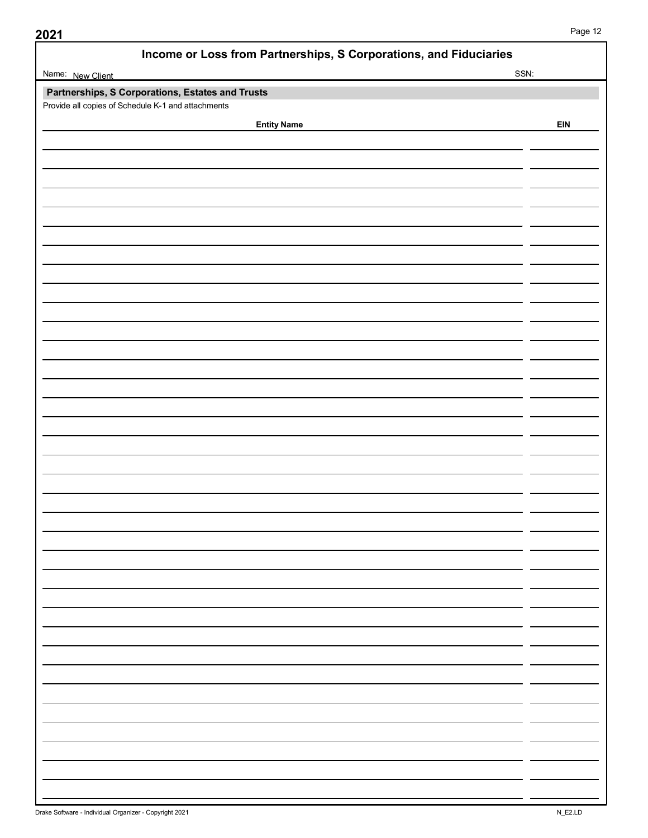| Income or Loss from Partnerships, S Corporations, and Fiduciaries |            |  |
|-------------------------------------------------------------------|------------|--|
| Name: New Client                                                  | SSN:       |  |
| Partnerships, S Corporations, Estates and Trusts                  |            |  |
| Provide all copies of Schedule K-1 and attachments                |            |  |
| <b>Entity Name</b>                                                | <b>EIN</b> |  |
|                                                                   |            |  |
|                                                                   |            |  |
|                                                                   |            |  |
|                                                                   |            |  |
|                                                                   |            |  |
|                                                                   |            |  |
|                                                                   |            |  |
|                                                                   |            |  |
|                                                                   |            |  |
|                                                                   |            |  |
|                                                                   |            |  |
|                                                                   |            |  |
|                                                                   |            |  |
|                                                                   |            |  |
|                                                                   |            |  |
|                                                                   |            |  |
|                                                                   |            |  |
|                                                                   |            |  |
|                                                                   |            |  |
|                                                                   |            |  |
|                                                                   |            |  |
|                                                                   |            |  |
|                                                                   |            |  |
|                                                                   |            |  |
|                                                                   |            |  |
|                                                                   |            |  |
|                                                                   |            |  |
|                                                                   |            |  |
|                                                                   |            |  |
|                                                                   |            |  |
|                                                                   |            |  |
|                                                                   |            |  |
|                                                                   |            |  |
|                                                                   |            |  |
|                                                                   |            |  |
|                                                                   |            |  |
|                                                                   |            |  |
|                                                                   |            |  |
|                                                                   |            |  |
|                                                                   |            |  |
|                                                                   |            |  |
|                                                                   |            |  |
|                                                                   |            |  |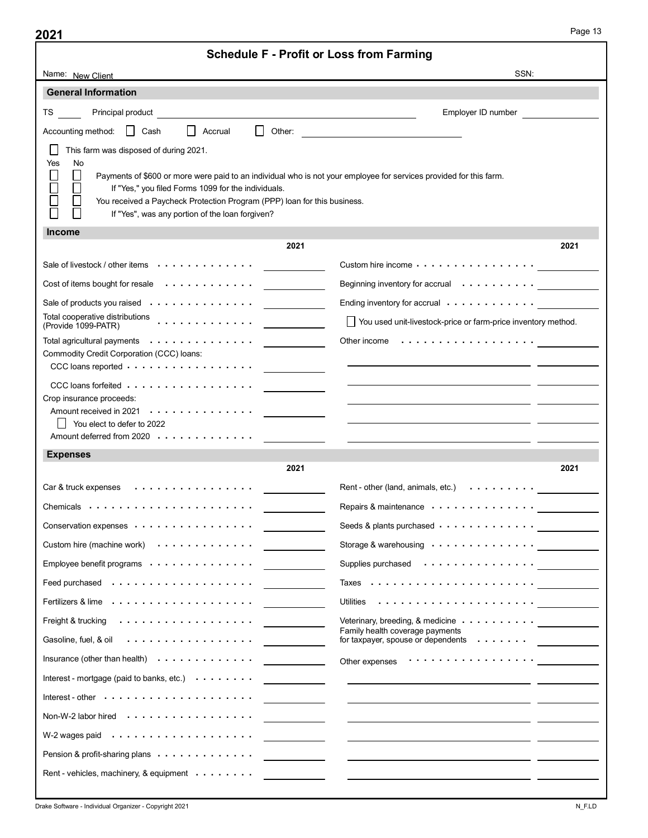|                                                                                                                                                                                                                                                  | <b>Schedule F - Profit or Loss from Farming</b>                                                                                                                                                                               |                                                             |
|--------------------------------------------------------------------------------------------------------------------------------------------------------------------------------------------------------------------------------------------------|-------------------------------------------------------------------------------------------------------------------------------------------------------------------------------------------------------------------------------|-------------------------------------------------------------|
| Name: New Client                                                                                                                                                                                                                                 |                                                                                                                                                                                                                               | SSN:                                                        |
| <b>General Information</b>                                                                                                                                                                                                                       |                                                                                                                                                                                                                               |                                                             |
| Principal product<br>TS and the set                                                                                                                                                                                                              | <u> 1989 - Johann Barbara, martxa alemaniar amerikan personal (h. 1989).</u>                                                                                                                                                  | Employer ID number                                          |
| Accounting method: Cash<br>Accrual                                                                                                                                                                                                               | $\Box$ Other:                                                                                                                                                                                                                 |                                                             |
| This farm was disposed of during 2021.<br>⊔                                                                                                                                                                                                      |                                                                                                                                                                                                                               |                                                             |
| No<br>Yes                                                                                                                                                                                                                                        |                                                                                                                                                                                                                               |                                                             |
| $\Box$<br>$\Box$<br>$\Box$<br>If "Yes," you filed Forms 1099 for the individuals.                                                                                                                                                                | Payments of \$600 or more were paid to an individual who is not your employee for services provided for this farm.                                                                                                            |                                                             |
| П<br>You received a Paycheck Protection Program (PPP) loan for this business.<br>If "Yes", was any portion of the loan forgiven?                                                                                                                 |                                                                                                                                                                                                                               |                                                             |
| <b>Income</b>                                                                                                                                                                                                                                    |                                                                                                                                                                                                                               |                                                             |
|                                                                                                                                                                                                                                                  | 2021                                                                                                                                                                                                                          | 2021                                                        |
| Sale of livestock / other items $\cdots \cdots \cdots$                                                                                                                                                                                           | Custom hire income                                                                                                                                                                                                            |                                                             |
| Cost of items bought for resale                                                                                                                                                                                                                  |                                                                                                                                                                                                                               |                                                             |
| Sale of products you raised                                                                                                                                                                                                                      |                                                                                                                                                                                                                               |                                                             |
|                                                                                                                                                                                                                                                  | You used unit-livestock-price or farm-price inventory method.                                                                                                                                                                 |                                                             |
| Total agricultural payments $\cdots \cdots \cdots \cdots$<br>Commodity Credit Corporation (CCC) loans:                                                                                                                                           |                                                                                                                                                                                                                               |                                                             |
| CCC loans reported                                                                                                                                                                                                                               |                                                                                                                                                                                                                               |                                                             |
| CCC loans forfeited                                                                                                                                                                                                                              | <u> 1989 - Johann Harry Harry Harry Harry Harry Harry Harry Harry Harry Harry Harry Harry Harry Harry Harry Harry</u>                                                                                                         |                                                             |
| Crop insurance proceeds:                                                                                                                                                                                                                         |                                                                                                                                                                                                                               | <u> 1989 - Andrea Barbara, amerikan personal (h. 1989).</u> |
| You elect to defer to 2022                                                                                                                                                                                                                       | <u> 1989 - Johann John Stone, fransk politik (f. 1989)</u>                                                                                                                                                                    |                                                             |
| Amount deferred from 2020 (a) and a series of the contract of the contract of the contract of the contract of the contract of the contract of the contract of the contract of the contract of the contract of the contract of<br><b>Expenses</b> |                                                                                                                                                                                                                               |                                                             |
|                                                                                                                                                                                                                                                  | 2021                                                                                                                                                                                                                          | 2021                                                        |
|                                                                                                                                                                                                                                                  |                                                                                                                                                                                                                               |                                                             |
|                                                                                                                                                                                                                                                  | Repairs & maintenance                                                                                                                                                                                                         |                                                             |
| Conservation expenses                                                                                                                                                                                                                            |                                                                                                                                                                                                                               |                                                             |
| Custom hire (machine work)                                                                                                                                                                                                                       |                                                                                                                                                                                                                               |                                                             |
|                                                                                                                                                                                                                                                  | Supplies purchased <u>.</u>                                                                                                                                                                                                   |                                                             |
|                                                                                                                                                                                                                                                  |                                                                                                                                                                                                                               |                                                             |
| Fertilizers & lime $\cdots \cdots \cdots \cdots \cdots$                                                                                                                                                                                          |                                                                                                                                                                                                                               |                                                             |
|                                                                                                                                                                                                                                                  |                                                                                                                                                                                                                               |                                                             |
|                                                                                                                                                                                                                                                  | Family health coverage payments                                                                                                                                                                                               |                                                             |
|                                                                                                                                                                                                                                                  | Other expenses recommended to the control of the control of the control of the control of the control of the control of the control of the control of the control of the control of the control of the control of the control |                                                             |
|                                                                                                                                                                                                                                                  |                                                                                                                                                                                                                               |                                                             |
|                                                                                                                                                                                                                                                  | <u> 1989 - Johann John Stone, mars et al. (1989)</u>                                                                                                                                                                          |                                                             |
|                                                                                                                                                                                                                                                  |                                                                                                                                                                                                                               |                                                             |
| W-2 wages paid in the contract of the contract of the contract of the contract of the contract of the contract of the contract of the contract of the contract of the contract of the contract of the contract of the contract                   |                                                                                                                                                                                                                               |                                                             |
| Pension & profit-sharing plans                                                                                                                                                                                                                   |                                                                                                                                                                                                                               |                                                             |
| Rent - vehicles, machinery, & equipment                                                                                                                                                                                                          |                                                                                                                                                                                                                               |                                                             |
|                                                                                                                                                                                                                                                  |                                                                                                                                                                                                                               |                                                             |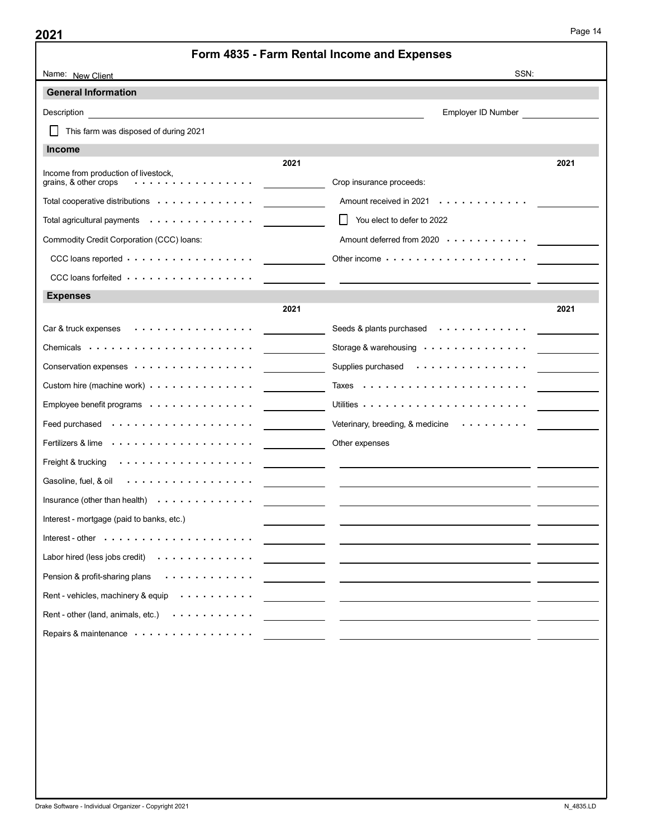|                                                                                                                                                                                                                                |      | Form 4835 - Farm Rental Income and Expenses                                                                          |      |
|--------------------------------------------------------------------------------------------------------------------------------------------------------------------------------------------------------------------------------|------|----------------------------------------------------------------------------------------------------------------------|------|
| Name: New Client                                                                                                                                                                                                               |      | SSN:                                                                                                                 |      |
| <b>General Information</b>                                                                                                                                                                                                     |      |                                                                                                                      |      |
| Description                                                                                                                                                                                                                    |      | Employer ID Number                                                                                                   |      |
| This farm was disposed of during 2021<br>$\Box$                                                                                                                                                                                |      |                                                                                                                      |      |
| <b>Income</b>                                                                                                                                                                                                                  |      |                                                                                                                      |      |
| Income from production of livestock,                                                                                                                                                                                           | 2021 |                                                                                                                      | 2021 |
| grains, & other crops                                                                                                                                                                                                          |      | Crop insurance proceeds:                                                                                             |      |
| Total cooperative distributions                                                                                                                                                                                                |      | Amount received in 2021                                                                                              |      |
| Total agricultural payments                                                                                                                                                                                                    |      | You elect to defer to 2022                                                                                           |      |
| Commodity Credit Corporation (CCC) loans:                                                                                                                                                                                      |      | Amount deferred from 2020                                                                                            |      |
| CCC loans reported                                                                                                                                                                                                             |      |                                                                                                                      |      |
| CCC loans forfeited                                                                                                                                                                                                            |      |                                                                                                                      |      |
| <b>Expenses</b>                                                                                                                                                                                                                |      |                                                                                                                      |      |
|                                                                                                                                                                                                                                | 2021 |                                                                                                                      | 2021 |
|                                                                                                                                                                                                                                |      |                                                                                                                      |      |
|                                                                                                                                                                                                                                |      |                                                                                                                      |      |
|                                                                                                                                                                                                                                |      |                                                                                                                      |      |
|                                                                                                                                                                                                                                |      |                                                                                                                      |      |
|                                                                                                                                                                                                                                |      |                                                                                                                      |      |
| Feed purchased www.watcher.com/watchers/community/deterinary, breeding, & medicine www.watchers.com/                                                                                                                           |      |                                                                                                                      |      |
| Fertilizers & lime expenses of the contract of the contract of the contract of the contract of the contract of the contract of the contract of the contract of the contract of the contract of the contract of the contract of |      |                                                                                                                      |      |
| Freight & trucking with the control of the control of the control of the control of the control of the control of the control of the control of the control of the control of the control of the control of the control of the |      |                                                                                                                      |      |
|                                                                                                                                                                                                                                |      |                                                                                                                      |      |
|                                                                                                                                                                                                                                |      | <u> 1990 - Jan James Alexandro III (m. 1950)</u>                                                                     |      |
| Interest - mortgage (paid to banks, etc.)                                                                                                                                                                                      |      |                                                                                                                      |      |
|                                                                                                                                                                                                                                |      | <u> 1980 - Johann John Stone, mars and de la population de la population de la population de la population de la</u> |      |
| Labor hired (less jobs credit)                                                                                                                                                                                                 |      |                                                                                                                      |      |
| Pension & profit-sharing plans                                                                                                                                                                                                 |      | <u> 1988 - Andrea Britain, amerikan bizi da bizi da bizi da bizi da bizi da bizi da bizi da bizi da bizi da bizi</u> |      |
|                                                                                                                                                                                                                                |      |                                                                                                                      |      |
| Rent - vehicles, machinery & equip                                                                                                                                                                                             |      |                                                                                                                      |      |
| Rent - other (land, animals, etc.)                                                                                                                                                                                             |      |                                                                                                                      |      |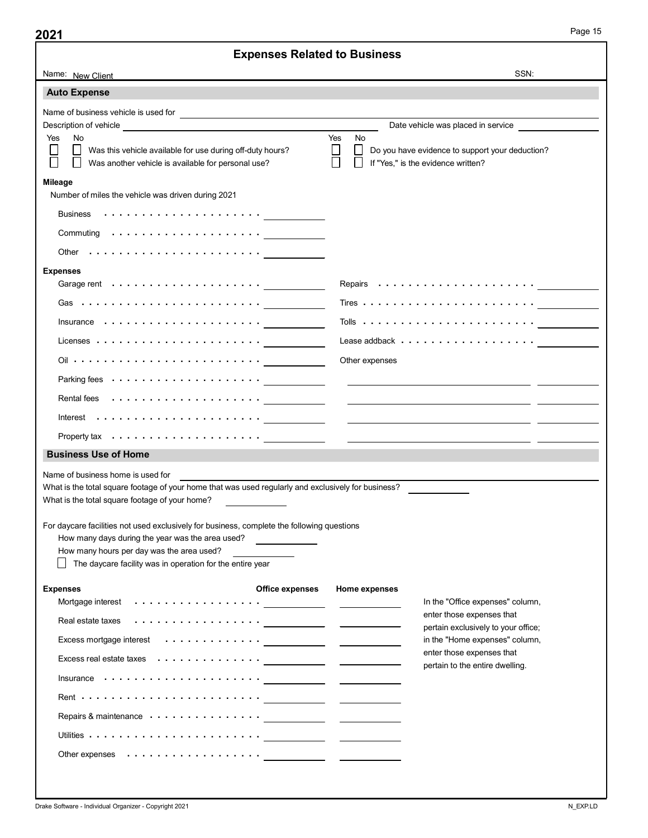|                                                                                                                                                                                                                                | <b>Expenses Related to Business</b>                                                                                   |  |
|--------------------------------------------------------------------------------------------------------------------------------------------------------------------------------------------------------------------------------|-----------------------------------------------------------------------------------------------------------------------|--|
| Name: New Client                                                                                                                                                                                                               | SSN:                                                                                                                  |  |
| <b>Auto Expense</b>                                                                                                                                                                                                            |                                                                                                                       |  |
|                                                                                                                                                                                                                                |                                                                                                                       |  |
|                                                                                                                                                                                                                                | Date vehicle was placed in service                                                                                    |  |
| Yes<br>No<br>$\Box$                                                                                                                                                                                                            | Yes<br>No<br>П<br>$\perp$                                                                                             |  |
| Was this vehicle available for use during off-duty hours?<br>Was another vehicle is available for personal use?                                                                                                                | Do you have evidence to support your deduction?<br>If "Yes," is the evidence written?                                 |  |
| <b>Mileage</b>                                                                                                                                                                                                                 |                                                                                                                       |  |
| Number of miles the vehicle was driven during 2021                                                                                                                                                                             |                                                                                                                       |  |
|                                                                                                                                                                                                                                |                                                                                                                       |  |
|                                                                                                                                                                                                                                |                                                                                                                       |  |
|                                                                                                                                                                                                                                |                                                                                                                       |  |
| <b>Expenses</b>                                                                                                                                                                                                                |                                                                                                                       |  |
|                                                                                                                                                                                                                                |                                                                                                                       |  |
|                                                                                                                                                                                                                                | Tires $\ldots \ldots \ldots \ldots \ldots \ldots \ldots \ldots \ldots$                                                |  |
| Insurance $\ldots \ldots \ldots \ldots \ldots \ldots$                                                                                                                                                                          |                                                                                                                       |  |
| Licenses $\ldots \ldots \ldots \ldots \ldots \ldots \ldots$                                                                                                                                                                    |                                                                                                                       |  |
|                                                                                                                                                                                                                                | Other expenses                                                                                                        |  |
| Parking fees $\cdots \cdots \cdots \cdots \cdots \cdots$                                                                                                                                                                       |                                                                                                                       |  |
|                                                                                                                                                                                                                                |                                                                                                                       |  |
|                                                                                                                                                                                                                                |                                                                                                                       |  |
|                                                                                                                                                                                                                                |                                                                                                                       |  |
| <b>Business Use of Home</b>                                                                                                                                                                                                    |                                                                                                                       |  |
| Name of business home is used for<br>                                                                                                                                                                                          | <u> 1989 - Johann Stoff, deutscher Stoff, der Stoff, der Stoff, der Stoff, der Stoff, der Stoff, der Stoff, der S</u> |  |
| What is the total square footage of your home that was used regularly and exclusively for business?                                                                                                                            |                                                                                                                       |  |
| What is the total square footage of your home?                                                                                                                                                                                 |                                                                                                                       |  |
| For daycare facilities not used exclusively for business, complete the following questions                                                                                                                                     |                                                                                                                       |  |
| How many days during the year was the area used?<br>How many hours per day was the area used?<br>the control of the control of                                                                                                 |                                                                                                                       |  |
| $\Box$ The daycare facility was in operation for the entire year                                                                                                                                                               |                                                                                                                       |  |
| <b>Office expenses</b><br><b>Expenses</b>                                                                                                                                                                                      | <b>Home expenses</b>                                                                                                  |  |
| Mortgage interest \\control \\control \\control \\control \\control \\control \\control \\control \\control \\control \\control \\control \\control \\control \\control \\control \\control \\control \\control \\control \\co | In the "Office expenses" column,                                                                                      |  |
| Real estate taxes with the control of the control of the control of the control of the control of the control of the control of the control of the control of the control of the control of the control of the control of the  | enter those expenses that                                                                                             |  |
|                                                                                                                                                                                                                                | pertain exclusively to your office;<br>in the "Home expenses" column,                                                 |  |
| Excess real estate taxes in the content of the content of the content of the content of the content of the content of the content of the content of the content of the content of the content of the content of the content of | enter those expenses that                                                                                             |  |
|                                                                                                                                                                                                                                | pertain to the entire dwelling.                                                                                       |  |
|                                                                                                                                                                                                                                |                                                                                                                       |  |
|                                                                                                                                                                                                                                |                                                                                                                       |  |
|                                                                                                                                                                                                                                |                                                                                                                       |  |
|                                                                                                                                                                                                                                |                                                                                                                       |  |
| Other expenses                                                                                                                                                                                                                 |                                                                                                                       |  |
|                                                                                                                                                                                                                                |                                                                                                                       |  |
|                                                                                                                                                                                                                                |                                                                                                                       |  |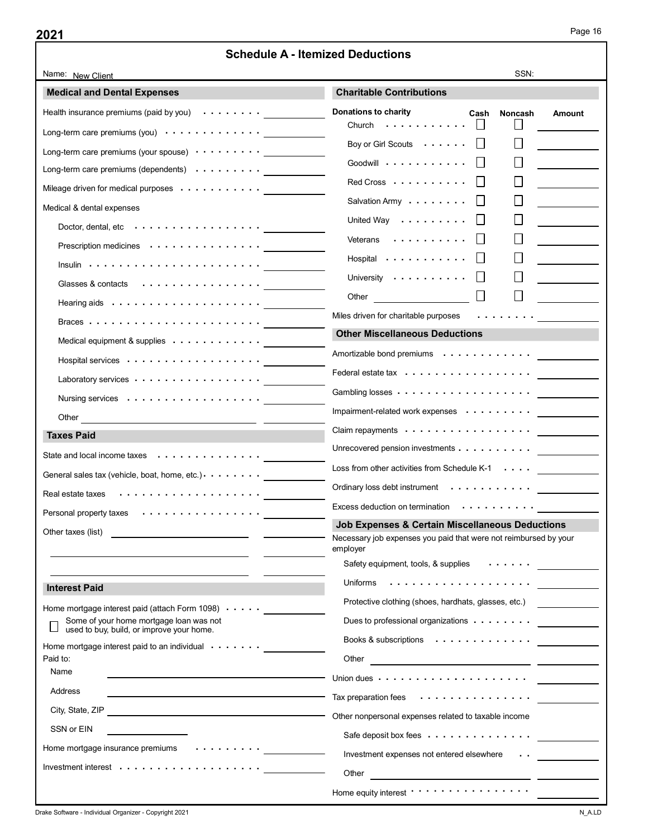|                                                                                                           | <b>Schedule A - Itemized Deductions</b>                                                                                                                                               |
|-----------------------------------------------------------------------------------------------------------|---------------------------------------------------------------------------------------------------------------------------------------------------------------------------------------|
| Name: New Client                                                                                          | SSN:                                                                                                                                                                                  |
| <b>Medical and Dental Expenses</b>                                                                        | <b>Charitable Contributions</b>                                                                                                                                                       |
| Health insurance premiums (paid by you) $\cdots \cdots$                                                   | Donations to charity<br>Cash<br><b>Noncash</b><br>Amount<br>Church $\Box$                                                                                                             |
|                                                                                                           | $\Box$<br>Boy or Girl Scouts<br>a ka                                                                                                                                                  |
|                                                                                                           |                                                                                                                                                                                       |
| Long-term care premiums (dependents) $\cdots$                                                             | $\Box$<br>Goodwill<br>- 11                                                                                                                                                            |
| Mileage driven for medical purposes                                                                       | $\Box$<br>Red Cross $\ldots$                                                                                                                                                          |
| Medical & dental expenses                                                                                 | $\Box$<br><u> 1980 - Jan Jawa</u><br>Salvation Army $\cdots \cdots$                                                                                                                   |
| Doctor, dental, etc                                                                                       | $\Box$<br>United Way<br>$\label{eq:2} \begin{array}{l} \mathcal{L}_{\text{max}}(\mathcal{L}_{\text{max}}) = \mathcal{L}_{\text{max}}(\mathcal{L}_{\text{max}}) \end{array}$<br>$\Box$ |
| Prescription medicines                                                                                    | $\Box$<br>Veterans<br>$\perp$                                                                                                                                                         |
| $Insulin \rightarrow \cdots \rightarrow \cdots \rightarrow \cdots$                                        | П<br>Hospital<br>- 11                                                                                                                                                                 |
| Glasses & contacts                                                                                        | University                                                                                                                                                                            |
|                                                                                                           | Other<br>$\Box$                                                                                                                                                                       |
|                                                                                                           | Miles driven for charitable purposes                                                                                                                                                  |
| Medical equipment & supplies                                                                              | <b>Other Miscellaneous Deductions</b>                                                                                                                                                 |
|                                                                                                           |                                                                                                                                                                                       |
| Laboratory services                                                                                       |                                                                                                                                                                                       |
|                                                                                                           |                                                                                                                                                                                       |
|                                                                                                           | Impairment-related work expenses <u>____________</u>                                                                                                                                  |
|                                                                                                           | Claim repayments                                                                                                                                                                      |
| <b>Taxes Paid</b>                                                                                         | Unrecovered pension investments                                                                                                                                                       |
| State and local income taxes                                                                              | Loss from other activities from Schedule K-1 $\dots$                                                                                                                                  |
| General sales tax (vehicle, boat, home, etc.) $\cdots$                                                    |                                                                                                                                                                                       |
|                                                                                                           | Ordinary loss debt instrument                                                                                                                                                         |
| Personal property taxes                                                                                   | Excess deduction on termination                                                                                                                                                       |
| Other taxes (list)                                                                                        | Job Expenses & Certain Miscellaneous Deductions<br>Necessary job expenses you paid that were not reimbursed by your                                                                   |
|                                                                                                           | employer                                                                                                                                                                              |
|                                                                                                           | Safety equipment, tools, & supplies                                                                                                                                                   |
| <b>Interest Paid</b>                                                                                      |                                                                                                                                                                                       |
| Home mortgage interest paid (attach Form 1098)                                                            | Protective clothing (shoes, hardhats, glasses, etc.)                                                                                                                                  |
| Some of your home mortgage loan was not                                                                   | Dues to professional organizations                                                                                                                                                    |
| used to buy, build, or improve your home.<br>Home mortgage interest paid to an individual $\cdots \cdots$ | Books & subscriptions                                                                                                                                                                 |
| Paid to:                                                                                                  |                                                                                                                                                                                       |
| Name                                                                                                      |                                                                                                                                                                                       |
| Address<br>the control of the control of the control of the control of the control of                     | Tax preparation fees $\cdots \cdots \cdots \cdots$                                                                                                                                    |
| City, State, ZIP                                                                                          | Other nonpersonal expenses related to taxable income                                                                                                                                  |
| SSN or EIN                                                                                                |                                                                                                                                                                                       |
| Home mortgage insurance premiums<br>.                                                                     | Safe deposit box fees                                                                                                                                                                 |
|                                                                                                           | Investment expenses not entered elsewhere                                                                                                                                             |
|                                                                                                           | Other                                                                                                                                                                                 |
|                                                                                                           | Home equity interest voltage vertex of the contract of the equity interest.                                                                                                           |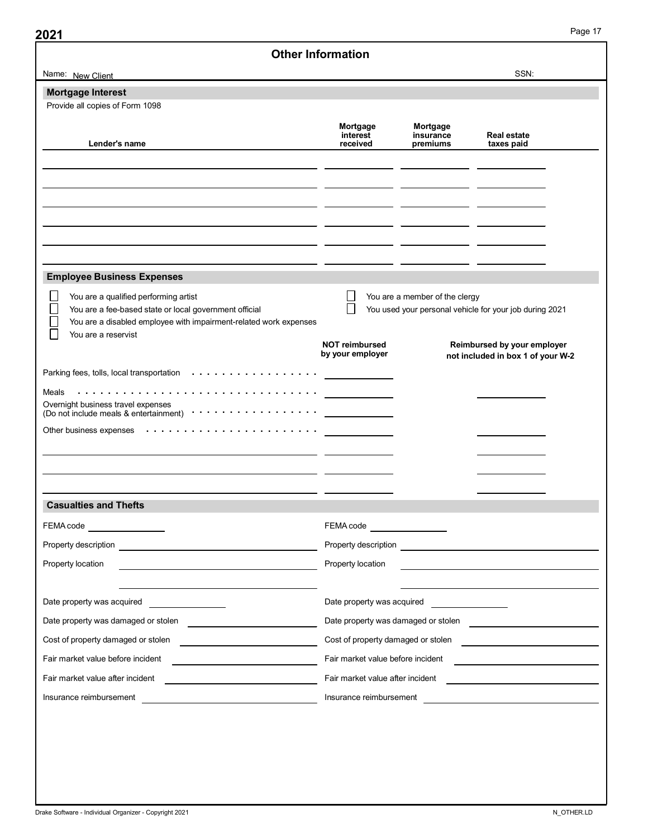|                                                                                                                                                                                                                                | <b>Other Information</b>                      |                                |                                                                  |
|--------------------------------------------------------------------------------------------------------------------------------------------------------------------------------------------------------------------------------|-----------------------------------------------|--------------------------------|------------------------------------------------------------------|
| Name: New Client                                                                                                                                                                                                               |                                               |                                | SSN:                                                             |
| <b>Mortgage Interest</b>                                                                                                                                                                                                       |                                               |                                |                                                                  |
| Provide all copies of Form 1098                                                                                                                                                                                                |                                               |                                |                                                                  |
| Lender's name                                                                                                                                                                                                                  | Mortgage<br>interest                          | Mortgage<br>insurance          | Real estate                                                      |
|                                                                                                                                                                                                                                | received                                      | premiums                       | taxes paid                                                       |
|                                                                                                                                                                                                                                |                                               |                                |                                                                  |
|                                                                                                                                                                                                                                |                                               |                                |                                                                  |
|                                                                                                                                                                                                                                |                                               |                                |                                                                  |
|                                                                                                                                                                                                                                |                                               |                                |                                                                  |
|                                                                                                                                                                                                                                |                                               |                                |                                                                  |
| <b>Employee Business Expenses</b>                                                                                                                                                                                              |                                               |                                |                                                                  |
| ∐<br>You are a qualified performing artist                                                                                                                                                                                     | $\Box$                                        | You are a member of the clergy |                                                                  |
| $\Box$<br>You are a fee-based state or local government official                                                                                                                                                               | $\Box$                                        |                                | You used your personal vehicle for your job during 2021          |
| $\Box$<br>You are a disabled employee with impairment-related work expenses<br>П<br>You are a reservist                                                                                                                        |                                               |                                |                                                                  |
|                                                                                                                                                                                                                                | <b>NOT reimbursed</b><br>by your employer     |                                | Reimbursed by your employer<br>not included in box 1 of your W-2 |
|                                                                                                                                                                                                                                |                                               |                                |                                                                  |
|                                                                                                                                                                                                                                |                                               |                                |                                                                  |
| Overnight business travel expenses<br>(Do not include meals & entertainment) $\cdots \cdots \cdots \cdots$                                                                                                                     |                                               |                                |                                                                  |
|                                                                                                                                                                                                                                |                                               |                                |                                                                  |
|                                                                                                                                                                                                                                |                                               |                                |                                                                  |
| <u> 1989 - Johann Stoff, deutscher Stoff, der Stoff, der Stoff, der Stoff, der Stoff, der Stoff, der Stoff, der S</u><br><u> 1989 - Andrea Andrew Maria (h. 1989).</u>                                                         |                                               |                                |                                                                  |
|                                                                                                                                                                                                                                |                                               |                                |                                                                  |
| <b>Casualties and Thefts</b>                                                                                                                                                                                                   |                                               |                                |                                                                  |
| FEMA code __________________                                                                                                                                                                                                   | FEMA code __________________                  |                                |                                                                  |
|                                                                                                                                                                                                                                |                                               |                                |                                                                  |
|                                                                                                                                                                                                                                | Property location                             |                                |                                                                  |
|                                                                                                                                                                                                                                |                                               |                                | <u> 1989 - Johann Stoff, Amerikaansk politiker (* 1908)</u>      |
| <u> 1989 - Johann Barn, mars ann an t-Amhain Aonaich an t-Aonaich an t-Aonaich ann an t-Aonaich ann an t-Aonaich</u>                                                                                                           |                                               |                                |                                                                  |
| Property location                                                                                                                                                                                                              |                                               |                                |                                                                  |
|                                                                                                                                                                                                                                | Date property was acquired __________________ |                                |                                                                  |
| Date property was damaged or stolen                                                                                                                                                                                            |                                               |                                | Date property was damaged or stolen                              |
|                                                                                                                                                                                                                                |                                               |                                |                                                                  |
| Fair market value before incident [1994] [1994] [1994] [1994] [1994] [1994] [1994] [1994] [1994] [1994] [1994] [1994] [1994] [1994] [1994] [1994] [1994] [1994] [1994] [1994] [1994] [1994] [1994] [1994] [1994] [1994] [1994] |                                               |                                |                                                                  |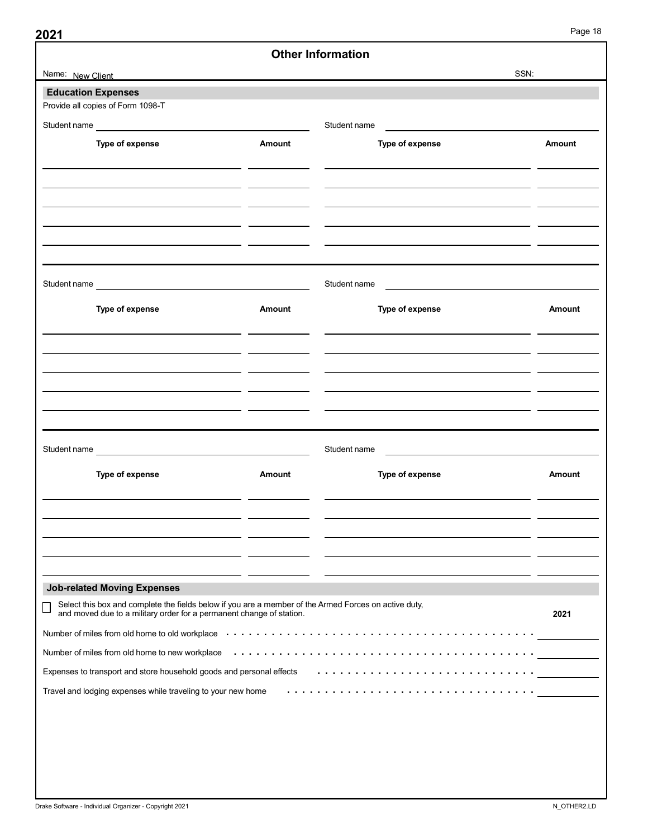|                                                                                                                                                                                                                               |        | <b>Other Information</b>                                                                                                                                                                                                      | Page 18                                                                                                             |
|-------------------------------------------------------------------------------------------------------------------------------------------------------------------------------------------------------------------------------|--------|-------------------------------------------------------------------------------------------------------------------------------------------------------------------------------------------------------------------------------|---------------------------------------------------------------------------------------------------------------------|
| Name: New Client                                                                                                                                                                                                              |        |                                                                                                                                                                                                                               | SSN:                                                                                                                |
| <b>Education Expenses</b><br>Provide all copies of Form 1098-T                                                                                                                                                                |        |                                                                                                                                                                                                                               |                                                                                                                     |
| Student name                                                                                                                                                                                                                  |        | Student name                                                                                                                                                                                                                  |                                                                                                                     |
| Type of expense                                                                                                                                                                                                               | Amount | Type of expense                                                                                                                                                                                                               | Amount                                                                                                              |
|                                                                                                                                                                                                                               |        |                                                                                                                                                                                                                               |                                                                                                                     |
|                                                                                                                                                                                                                               |        |                                                                                                                                                                                                                               |                                                                                                                     |
|                                                                                                                                                                                                                               |        |                                                                                                                                                                                                                               |                                                                                                                     |
|                                                                                                                                                                                                                               |        |                                                                                                                                                                                                                               |                                                                                                                     |
|                                                                                                                                                                                                                               |        |                                                                                                                                                                                                                               |                                                                                                                     |
|                                                                                                                                                                                                                               |        |                                                                                                                                                                                                                               |                                                                                                                     |
| Student name                                                                                                                                                                                                                  |        | Student name                                                                                                                                                                                                                  |                                                                                                                     |
| Type of expense                                                                                                                                                                                                               | Amount | Type of expense                                                                                                                                                                                                               | Amount                                                                                                              |
|                                                                                                                                                                                                                               |        |                                                                                                                                                                                                                               |                                                                                                                     |
|                                                                                                                                                                                                                               |        | <u> 1989 - Jan Barbara Barbara, política establecera en la provincia de la provincia de la provincia de la provin</u>                                                                                                         |                                                                                                                     |
|                                                                                                                                                                                                                               |        |                                                                                                                                                                                                                               | <u> 1980 - Andrea State Barbara, poeta esta</u>                                                                     |
|                                                                                                                                                                                                                               |        |                                                                                                                                                                                                                               |                                                                                                                     |
|                                                                                                                                                                                                                               |        | <u> 1980 - Jan Barnett, fransk politik (d. 1980)</u>                                                                                                                                                                          |                                                                                                                     |
|                                                                                                                                                                                                                               |        |                                                                                                                                                                                                                               |                                                                                                                     |
| Student name<br><u> 1989 - Johann Barn, mars eta bainar eta bainar eta baina eta baina eta baina eta baina eta baina eta baina e</u>                                                                                          |        | Student name                                                                                                                                                                                                                  | <u> 1989 - Johann Barn, mars eta bainar eta baina eta baina eta baina eta baina eta baina eta baina eta baina e</u> |
| Type of expense                                                                                                                                                                                                               | Amount | Type of expense                                                                                                                                                                                                               | Amount                                                                                                              |
|                                                                                                                                                                                                                               |        |                                                                                                                                                                                                                               |                                                                                                                     |
|                                                                                                                                                                                                                               |        |                                                                                                                                                                                                                               |                                                                                                                     |
|                                                                                                                                                                                                                               |        | <u> 1980 - Jan Barbara Barbara, prima popular popular popular popular popular popular popular popular popular po</u>                                                                                                          |                                                                                                                     |
|                                                                                                                                                                                                                               |        |                                                                                                                                                                                                                               |                                                                                                                     |
| <b>Job-related Moving Expenses</b>                                                                                                                                                                                            |        |                                                                                                                                                                                                                               |                                                                                                                     |
| Select this box and complete the fields below if you are a member of the Armed Forces on active duty, and moved due to a military order for a permanent change of station.<br>$\Box$                                          |        |                                                                                                                                                                                                                               |                                                                                                                     |
|                                                                                                                                                                                                                               |        |                                                                                                                                                                                                                               | 2021                                                                                                                |
|                                                                                                                                                                                                                               |        |                                                                                                                                                                                                                               |                                                                                                                     |
| Expenses to transport and store household goods and personal effects entitled to contain the state of the container that state the container the container that state the container the container the container the container |        |                                                                                                                                                                                                                               |                                                                                                                     |
|                                                                                                                                                                                                                               |        | Travel and lodging expenses while traveling to your new home with the content of the content of the system of the system of the system of the system of the system of the system of the system of the system of the system of |                                                                                                                     |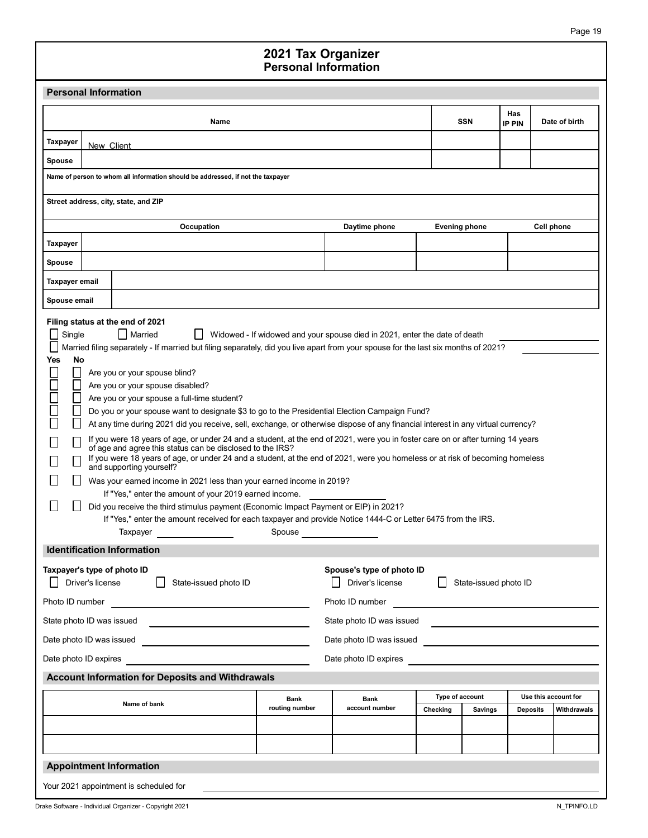#### Personal Information 2021 Tax Organizer

| <b>Personal Information</b><br><b>Personal Information</b><br>Has<br><b>SSN</b><br>Name<br><b>IP PIN</b><br>Taxpayer<br>New Client<br>Spouse<br>Name of person to whom all information should be addressed, if not the taxpayer<br>Street address, city, state, and ZIP<br>Occupation<br>Daytime phone<br><b>Evening phone</b><br>Cell phone<br>Taxpayer<br>Spouse<br><b>Taxpayer email</b><br>Spouse email<br>Filing status at the end of 2021<br>$\Box$ Married<br>$\Box$ Single<br>Widowed - If widowed and your spouse died in 2021, enter the date of death<br>Married filing separately - If married but filing separately, did you live apart from your spouse for the last six months of 2021?<br>No<br>Yes<br>П<br>Are you or your spouse blind?<br>$\Box$<br>Are you or your spouse disabled?<br>П<br>Are you or your spouse a full-time student?<br>Do you or your spouse want to designate \$3 to go to the Presidential Election Campaign Fund?<br>At any time during 2021 did you receive, sell, exchange, or otherwise dispose of any financial interest in any virtual currency?<br>If you were 18 years of age, or under 24 and a student, at the end of 2021, were you in foster care on or after turning 14 years<br>of age and agree this status can be disclosed to the IRS?<br>If you were 18 years of age, or under 24 and a student, at the end of 2021, were you homeless or at risk of becoming homeless<br>and supporting yourself?<br>Was your earned income in 2021 less than your earned income in 2019?<br>If "Yes," enter the amount of your 2019 earned income.<br>Did you receive the third stimulus payment (Economic Impact Payment or EIP) in 2021?<br>If "Yes," enter the amount received for each taxpayer and provide Notice 1444-C or Letter 6475 from the IRS.<br>Spouse ________________<br>Taxpayer <b>Exercise Service Service Service Service</b><br><b>Identification Information</b><br>Taxpayer's type of photo ID<br>Spouse's type of photo ID<br>State-issued photo ID<br>$\Box$ Driver's license<br>State-issued photo ID<br>Driver's license<br>Photo ID number<br>State photo ID was issued <b>EXALL AND THE STATE AND THE STATE AND THE STATE AND THE STATE AND THE STATE AND THE ST</b> |                                                                                                                                                                                                                               | 2021 Tax Organizer |  |               |
|-------------------------------------------------------------------------------------------------------------------------------------------------------------------------------------------------------------------------------------------------------------------------------------------------------------------------------------------------------------------------------------------------------------------------------------------------------------------------------------------------------------------------------------------------------------------------------------------------------------------------------------------------------------------------------------------------------------------------------------------------------------------------------------------------------------------------------------------------------------------------------------------------------------------------------------------------------------------------------------------------------------------------------------------------------------------------------------------------------------------------------------------------------------------------------------------------------------------------------------------------------------------------------------------------------------------------------------------------------------------------------------------------------------------------------------------------------------------------------------------------------------------------------------------------------------------------------------------------------------------------------------------------------------------------------------------------------------------------------------------------------------------------------------------------------------------------------------------------------------------------------------------------------------------------------------------------------------------------------------------------------------------------------------------------------------------------------------------------------------------------------------------------------------------------------------------------------------------------------------------------|-------------------------------------------------------------------------------------------------------------------------------------------------------------------------------------------------------------------------------|--------------------|--|---------------|
|                                                                                                                                                                                                                                                                                                                                                                                                                                                                                                                                                                                                                                                                                                                                                                                                                                                                                                                                                                                                                                                                                                                                                                                                                                                                                                                                                                                                                                                                                                                                                                                                                                                                                                                                                                                                                                                                                                                                                                                                                                                                                                                                                                                                                                                 |                                                                                                                                                                                                                               |                    |  |               |
|                                                                                                                                                                                                                                                                                                                                                                                                                                                                                                                                                                                                                                                                                                                                                                                                                                                                                                                                                                                                                                                                                                                                                                                                                                                                                                                                                                                                                                                                                                                                                                                                                                                                                                                                                                                                                                                                                                                                                                                                                                                                                                                                                                                                                                                 |                                                                                                                                                                                                                               |                    |  |               |
|                                                                                                                                                                                                                                                                                                                                                                                                                                                                                                                                                                                                                                                                                                                                                                                                                                                                                                                                                                                                                                                                                                                                                                                                                                                                                                                                                                                                                                                                                                                                                                                                                                                                                                                                                                                                                                                                                                                                                                                                                                                                                                                                                                                                                                                 |                                                                                                                                                                                                                               |                    |  | Date of birth |
|                                                                                                                                                                                                                                                                                                                                                                                                                                                                                                                                                                                                                                                                                                                                                                                                                                                                                                                                                                                                                                                                                                                                                                                                                                                                                                                                                                                                                                                                                                                                                                                                                                                                                                                                                                                                                                                                                                                                                                                                                                                                                                                                                                                                                                                 |                                                                                                                                                                                                                               |                    |  |               |
|                                                                                                                                                                                                                                                                                                                                                                                                                                                                                                                                                                                                                                                                                                                                                                                                                                                                                                                                                                                                                                                                                                                                                                                                                                                                                                                                                                                                                                                                                                                                                                                                                                                                                                                                                                                                                                                                                                                                                                                                                                                                                                                                                                                                                                                 |                                                                                                                                                                                                                               |                    |  |               |
|                                                                                                                                                                                                                                                                                                                                                                                                                                                                                                                                                                                                                                                                                                                                                                                                                                                                                                                                                                                                                                                                                                                                                                                                                                                                                                                                                                                                                                                                                                                                                                                                                                                                                                                                                                                                                                                                                                                                                                                                                                                                                                                                                                                                                                                 |                                                                                                                                                                                                                               |                    |  |               |
|                                                                                                                                                                                                                                                                                                                                                                                                                                                                                                                                                                                                                                                                                                                                                                                                                                                                                                                                                                                                                                                                                                                                                                                                                                                                                                                                                                                                                                                                                                                                                                                                                                                                                                                                                                                                                                                                                                                                                                                                                                                                                                                                                                                                                                                 |                                                                                                                                                                                                                               |                    |  |               |
|                                                                                                                                                                                                                                                                                                                                                                                                                                                                                                                                                                                                                                                                                                                                                                                                                                                                                                                                                                                                                                                                                                                                                                                                                                                                                                                                                                                                                                                                                                                                                                                                                                                                                                                                                                                                                                                                                                                                                                                                                                                                                                                                                                                                                                                 |                                                                                                                                                                                                                               |                    |  |               |
|                                                                                                                                                                                                                                                                                                                                                                                                                                                                                                                                                                                                                                                                                                                                                                                                                                                                                                                                                                                                                                                                                                                                                                                                                                                                                                                                                                                                                                                                                                                                                                                                                                                                                                                                                                                                                                                                                                                                                                                                                                                                                                                                                                                                                                                 |                                                                                                                                                                                                                               |                    |  |               |
|                                                                                                                                                                                                                                                                                                                                                                                                                                                                                                                                                                                                                                                                                                                                                                                                                                                                                                                                                                                                                                                                                                                                                                                                                                                                                                                                                                                                                                                                                                                                                                                                                                                                                                                                                                                                                                                                                                                                                                                                                                                                                                                                                                                                                                                 |                                                                                                                                                                                                                               |                    |  |               |
|                                                                                                                                                                                                                                                                                                                                                                                                                                                                                                                                                                                                                                                                                                                                                                                                                                                                                                                                                                                                                                                                                                                                                                                                                                                                                                                                                                                                                                                                                                                                                                                                                                                                                                                                                                                                                                                                                                                                                                                                                                                                                                                                                                                                                                                 |                                                                                                                                                                                                                               |                    |  |               |
|                                                                                                                                                                                                                                                                                                                                                                                                                                                                                                                                                                                                                                                                                                                                                                                                                                                                                                                                                                                                                                                                                                                                                                                                                                                                                                                                                                                                                                                                                                                                                                                                                                                                                                                                                                                                                                                                                                                                                                                                                                                                                                                                                                                                                                                 |                                                                                                                                                                                                                               |                    |  |               |
| <b>Account Information for Deposits and Withdrawals</b>                                                                                                                                                                                                                                                                                                                                                                                                                                                                                                                                                                                                                                                                                                                                                                                                                                                                                                                                                                                                                                                                                                                                                                                                                                                                                                                                                                                                                                                                                                                                                                                                                                                                                                                                                                                                                                                                                                                                                                                                                                                                                                                                                                                         |                                                                                                                                                                                                                               |                    |  |               |
| Use this account for<br>Type of account<br><b>Bank</b><br><b>Bank</b><br>Name of bank<br>routing number<br>account number<br>Deposits<br>Checking<br><b>Savings</b>                                                                                                                                                                                                                                                                                                                                                                                                                                                                                                                                                                                                                                                                                                                                                                                                                                                                                                                                                                                                                                                                                                                                                                                                                                                                                                                                                                                                                                                                                                                                                                                                                                                                                                                                                                                                                                                                                                                                                                                                                                                                             | Date photo ID expires expression of the state of the state of the state of the state of the state of the state of the state of the state of the state of the state of the state of the state of the state of the state of the |                    |  | Withdrawals   |
| <b>Appointment Information</b>                                                                                                                                                                                                                                                                                                                                                                                                                                                                                                                                                                                                                                                                                                                                                                                                                                                                                                                                                                                                                                                                                                                                                                                                                                                                                                                                                                                                                                                                                                                                                                                                                                                                                                                                                                                                                                                                                                                                                                                                                                                                                                                                                                                                                  |                                                                                                                                                                                                                               |                    |  |               |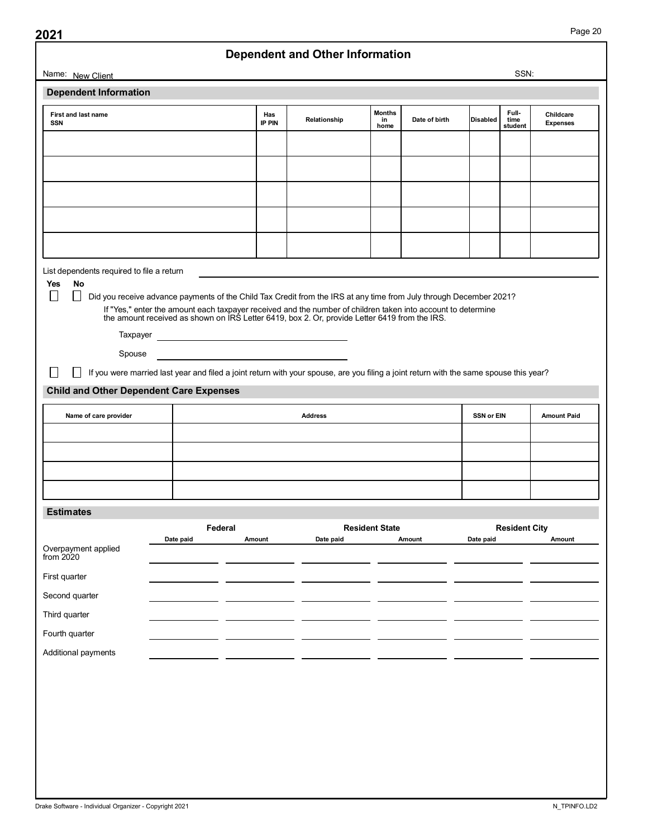| SSN:<br><b>Months</b><br>Full-<br>First and last name<br>Childcare<br>Has<br>Disabled<br>Date of birth<br>Relationship<br>time<br>in<br><b>IP PIN</b><br>SSN<br><b>Expenses</b><br>home<br>student<br>No<br>$\Box$<br>$\Box$<br>Did you receive advance payments of the Child Tax Credit from the IRS at any time from July through December 2021?<br>If "Yes," enter the amount each taxpayer received and the number of children taken into account to determine<br>the amount received as shown on IRS Letter 6419, box 2. Or, provide Letter 6419 from the IRS.<br>Spouse<br>$\Box$<br>If you were married last year and filed a joint return with your spouse, are you filing a joint return with the same spouse this year?<br>$\Box$<br>Name of care provider<br><b>Address</b><br>SSN or EIN<br><b>Resident State</b><br>Federal<br><b>Resident City</b><br>Amount<br>Date paid<br>Amount<br>Date paid<br>Amount<br>Date paid | Name: New Client<br><b>Dependent Information</b><br>List dependents required to file a return<br>Yes<br><b>Child and Other Dependent Care Expenses</b><br><b>Estimates</b><br>Overpayment applied<br>from 2020<br>First quarter<br>Second quarter<br>Third quarter<br>Fourth quarter<br>Additional payments | 2021 |  | <b>Dependent and Other Information</b> |  |  |                    |
|---------------------------------------------------------------------------------------------------------------------------------------------------------------------------------------------------------------------------------------------------------------------------------------------------------------------------------------------------------------------------------------------------------------------------------------------------------------------------------------------------------------------------------------------------------------------------------------------------------------------------------------------------------------------------------------------------------------------------------------------------------------------------------------------------------------------------------------------------------------------------------------------------------------------------------------|-------------------------------------------------------------------------------------------------------------------------------------------------------------------------------------------------------------------------------------------------------------------------------------------------------------|------|--|----------------------------------------|--|--|--------------------|
|                                                                                                                                                                                                                                                                                                                                                                                                                                                                                                                                                                                                                                                                                                                                                                                                                                                                                                                                       |                                                                                                                                                                                                                                                                                                             |      |  |                                        |  |  |                    |
|                                                                                                                                                                                                                                                                                                                                                                                                                                                                                                                                                                                                                                                                                                                                                                                                                                                                                                                                       |                                                                                                                                                                                                                                                                                                             |      |  |                                        |  |  |                    |
|                                                                                                                                                                                                                                                                                                                                                                                                                                                                                                                                                                                                                                                                                                                                                                                                                                                                                                                                       |                                                                                                                                                                                                                                                                                                             |      |  |                                        |  |  |                    |
|                                                                                                                                                                                                                                                                                                                                                                                                                                                                                                                                                                                                                                                                                                                                                                                                                                                                                                                                       |                                                                                                                                                                                                                                                                                                             |      |  |                                        |  |  |                    |
|                                                                                                                                                                                                                                                                                                                                                                                                                                                                                                                                                                                                                                                                                                                                                                                                                                                                                                                                       |                                                                                                                                                                                                                                                                                                             |      |  |                                        |  |  |                    |
|                                                                                                                                                                                                                                                                                                                                                                                                                                                                                                                                                                                                                                                                                                                                                                                                                                                                                                                                       |                                                                                                                                                                                                                                                                                                             |      |  |                                        |  |  |                    |
|                                                                                                                                                                                                                                                                                                                                                                                                                                                                                                                                                                                                                                                                                                                                                                                                                                                                                                                                       |                                                                                                                                                                                                                                                                                                             |      |  |                                        |  |  |                    |
|                                                                                                                                                                                                                                                                                                                                                                                                                                                                                                                                                                                                                                                                                                                                                                                                                                                                                                                                       |                                                                                                                                                                                                                                                                                                             |      |  |                                        |  |  |                    |
|                                                                                                                                                                                                                                                                                                                                                                                                                                                                                                                                                                                                                                                                                                                                                                                                                                                                                                                                       |                                                                                                                                                                                                                                                                                                             |      |  |                                        |  |  |                    |
|                                                                                                                                                                                                                                                                                                                                                                                                                                                                                                                                                                                                                                                                                                                                                                                                                                                                                                                                       |                                                                                                                                                                                                                                                                                                             |      |  |                                        |  |  |                    |
|                                                                                                                                                                                                                                                                                                                                                                                                                                                                                                                                                                                                                                                                                                                                                                                                                                                                                                                                       |                                                                                                                                                                                                                                                                                                             |      |  |                                        |  |  |                    |
|                                                                                                                                                                                                                                                                                                                                                                                                                                                                                                                                                                                                                                                                                                                                                                                                                                                                                                                                       |                                                                                                                                                                                                                                                                                                             |      |  |                                        |  |  |                    |
|                                                                                                                                                                                                                                                                                                                                                                                                                                                                                                                                                                                                                                                                                                                                                                                                                                                                                                                                       |                                                                                                                                                                                                                                                                                                             |      |  |                                        |  |  |                    |
|                                                                                                                                                                                                                                                                                                                                                                                                                                                                                                                                                                                                                                                                                                                                                                                                                                                                                                                                       |                                                                                                                                                                                                                                                                                                             |      |  |                                        |  |  |                    |
|                                                                                                                                                                                                                                                                                                                                                                                                                                                                                                                                                                                                                                                                                                                                                                                                                                                                                                                                       |                                                                                                                                                                                                                                                                                                             |      |  |                                        |  |  |                    |
|                                                                                                                                                                                                                                                                                                                                                                                                                                                                                                                                                                                                                                                                                                                                                                                                                                                                                                                                       |                                                                                                                                                                                                                                                                                                             |      |  |                                        |  |  |                    |
|                                                                                                                                                                                                                                                                                                                                                                                                                                                                                                                                                                                                                                                                                                                                                                                                                                                                                                                                       |                                                                                                                                                                                                                                                                                                             |      |  |                                        |  |  |                    |
|                                                                                                                                                                                                                                                                                                                                                                                                                                                                                                                                                                                                                                                                                                                                                                                                                                                                                                                                       |                                                                                                                                                                                                                                                                                                             |      |  |                                        |  |  | <b>Amount Paid</b> |
|                                                                                                                                                                                                                                                                                                                                                                                                                                                                                                                                                                                                                                                                                                                                                                                                                                                                                                                                       |                                                                                                                                                                                                                                                                                                             |      |  |                                        |  |  |                    |
|                                                                                                                                                                                                                                                                                                                                                                                                                                                                                                                                                                                                                                                                                                                                                                                                                                                                                                                                       |                                                                                                                                                                                                                                                                                                             |      |  |                                        |  |  |                    |
|                                                                                                                                                                                                                                                                                                                                                                                                                                                                                                                                                                                                                                                                                                                                                                                                                                                                                                                                       |                                                                                                                                                                                                                                                                                                             |      |  |                                        |  |  |                    |
|                                                                                                                                                                                                                                                                                                                                                                                                                                                                                                                                                                                                                                                                                                                                                                                                                                                                                                                                       |                                                                                                                                                                                                                                                                                                             |      |  |                                        |  |  |                    |
|                                                                                                                                                                                                                                                                                                                                                                                                                                                                                                                                                                                                                                                                                                                                                                                                                                                                                                                                       |                                                                                                                                                                                                                                                                                                             |      |  |                                        |  |  |                    |
|                                                                                                                                                                                                                                                                                                                                                                                                                                                                                                                                                                                                                                                                                                                                                                                                                                                                                                                                       |                                                                                                                                                                                                                                                                                                             |      |  |                                        |  |  |                    |
|                                                                                                                                                                                                                                                                                                                                                                                                                                                                                                                                                                                                                                                                                                                                                                                                                                                                                                                                       |                                                                                                                                                                                                                                                                                                             |      |  |                                        |  |  |                    |
|                                                                                                                                                                                                                                                                                                                                                                                                                                                                                                                                                                                                                                                                                                                                                                                                                                                                                                                                       |                                                                                                                                                                                                                                                                                                             |      |  |                                        |  |  |                    |
|                                                                                                                                                                                                                                                                                                                                                                                                                                                                                                                                                                                                                                                                                                                                                                                                                                                                                                                                       |                                                                                                                                                                                                                                                                                                             |      |  |                                        |  |  |                    |
|                                                                                                                                                                                                                                                                                                                                                                                                                                                                                                                                                                                                                                                                                                                                                                                                                                                                                                                                       |                                                                                                                                                                                                                                                                                                             |      |  |                                        |  |  |                    |
|                                                                                                                                                                                                                                                                                                                                                                                                                                                                                                                                                                                                                                                                                                                                                                                                                                                                                                                                       |                                                                                                                                                                                                                                                                                                             |      |  |                                        |  |  |                    |
|                                                                                                                                                                                                                                                                                                                                                                                                                                                                                                                                                                                                                                                                                                                                                                                                                                                                                                                                       |                                                                                                                                                                                                                                                                                                             |      |  |                                        |  |  |                    |
|                                                                                                                                                                                                                                                                                                                                                                                                                                                                                                                                                                                                                                                                                                                                                                                                                                                                                                                                       |                                                                                                                                                                                                                                                                                                             |      |  |                                        |  |  |                    |
|                                                                                                                                                                                                                                                                                                                                                                                                                                                                                                                                                                                                                                                                                                                                                                                                                                                                                                                                       |                                                                                                                                                                                                                                                                                                             |      |  |                                        |  |  |                    |
|                                                                                                                                                                                                                                                                                                                                                                                                                                                                                                                                                                                                                                                                                                                                                                                                                                                                                                                                       |                                                                                                                                                                                                                                                                                                             |      |  |                                        |  |  |                    |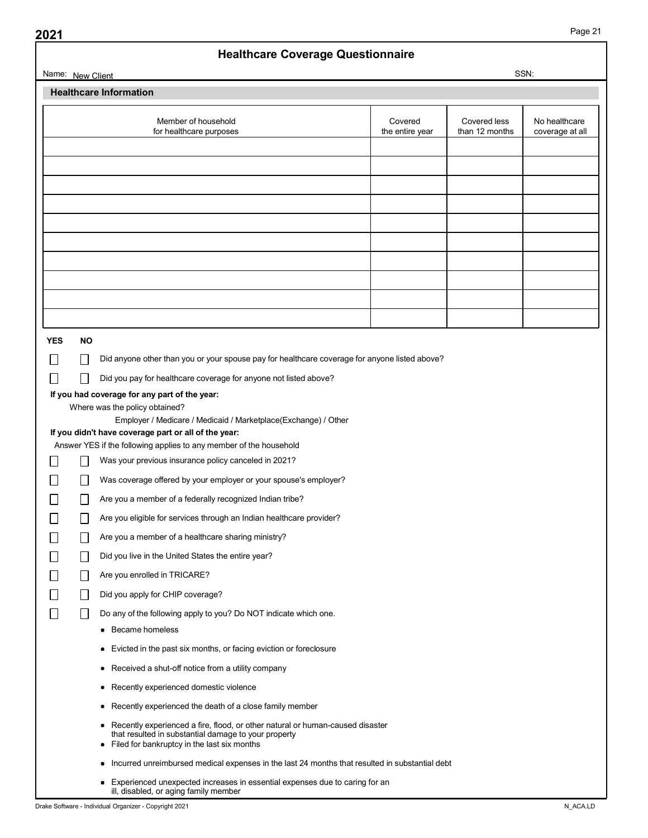| Name: New Client                                |                                                                                                                                                                                          |                            |                                                  |                                  |  |  |  |  |
|-------------------------------------------------|------------------------------------------------------------------------------------------------------------------------------------------------------------------------------------------|----------------------------|--------------------------------------------------|----------------------------------|--|--|--|--|
|                                                 |                                                                                                                                                                                          |                            | <b>Healthcare Coverage Questionnaire</b><br>SSN: |                                  |  |  |  |  |
|                                                 | <b>Healthcare Information</b>                                                                                                                                                            |                            |                                                  |                                  |  |  |  |  |
|                                                 |                                                                                                                                                                                          |                            |                                                  |                                  |  |  |  |  |
|                                                 | Member of household<br>for healthcare purposes                                                                                                                                           | Covered<br>the entire year | Covered less<br>than 12 months                   | No healthcare<br>coverage at all |  |  |  |  |
|                                                 |                                                                                                                                                                                          |                            |                                                  |                                  |  |  |  |  |
|                                                 |                                                                                                                                                                                          |                            |                                                  |                                  |  |  |  |  |
|                                                 |                                                                                                                                                                                          |                            |                                                  |                                  |  |  |  |  |
|                                                 |                                                                                                                                                                                          |                            |                                                  |                                  |  |  |  |  |
|                                                 |                                                                                                                                                                                          |                            |                                                  |                                  |  |  |  |  |
|                                                 |                                                                                                                                                                                          |                            |                                                  |                                  |  |  |  |  |
|                                                 |                                                                                                                                                                                          |                            |                                                  |                                  |  |  |  |  |
|                                                 |                                                                                                                                                                                          |                            |                                                  |                                  |  |  |  |  |
|                                                 |                                                                                                                                                                                          |                            |                                                  |                                  |  |  |  |  |
|                                                 |                                                                                                                                                                                          |                            |                                                  |                                  |  |  |  |  |
|                                                 |                                                                                                                                                                                          |                            |                                                  |                                  |  |  |  |  |
| <b>YES</b>                                      | <b>NO</b>                                                                                                                                                                                |                            |                                                  |                                  |  |  |  |  |
|                                                 | $\Box$<br>Did anyone other than you or your spouse pay for healthcare coverage for anyone listed above?                                                                                  |                            |                                                  |                                  |  |  |  |  |
|                                                 | Did you pay for healthcare coverage for anyone not listed above?<br>$\Box$                                                                                                               |                            |                                                  |                                  |  |  |  |  |
| $\Box$                                          | If you had coverage for any part of the year:                                                                                                                                            |                            |                                                  |                                  |  |  |  |  |
|                                                 | Where was the policy obtained?                                                                                                                                                           |                            |                                                  |                                  |  |  |  |  |
|                                                 | Employer / Medicare / Medicaid / Marketplace(Exchange) / Other                                                                                                                           |                            |                                                  |                                  |  |  |  |  |
|                                                 | If you didn't have coverage part or all of the year:<br>Answer YES if the following applies to any member of the household                                                               |                            |                                                  |                                  |  |  |  |  |
|                                                 | $\Box$<br>Was your previous insurance policy canceled in 2021?                                                                                                                           |                            |                                                  |                                  |  |  |  |  |
|                                                 |                                                                                                                                                                                          |                            |                                                  |                                  |  |  |  |  |
|                                                 |                                                                                                                                                                                          |                            |                                                  |                                  |  |  |  |  |
| $\Box$                                          | $\Box$<br>Was coverage offered by your employer or your spouse's employer?                                                                                                               |                            |                                                  |                                  |  |  |  |  |
| $\Box$                                          | $\Box$<br>Are you a member of a federally recognized Indian tribe?                                                                                                                       |                            |                                                  |                                  |  |  |  |  |
| $\begin{array}{c} \hline \end{array}$           | $\Box$<br>Are you eligible for services through an Indian healthcare provider?                                                                                                           |                            |                                                  |                                  |  |  |  |  |
| $\Box$                                          | $\Box$<br>Are you a member of a healthcare sharing ministry?                                                                                                                             |                            |                                                  |                                  |  |  |  |  |
| $\Box$                                          | $\Box$<br>Did you live in the United States the entire year?                                                                                                                             |                            |                                                  |                                  |  |  |  |  |
| $\begin{array}{c} \hline \end{array}$           | Are you enrolled in TRICARE?<br>$\Box$                                                                                                                                                   |                            |                                                  |                                  |  |  |  |  |
| $\Box$                                          | $\Box$<br>Did you apply for CHIP coverage?                                                                                                                                               |                            |                                                  |                                  |  |  |  |  |
| $\Box$<br>$\begin{array}{c} \hline \end{array}$ | Do any of the following apply to you? Do NOT indicate which one.                                                                                                                         |                            |                                                  |                                  |  |  |  |  |
|                                                 | • Became homeless                                                                                                                                                                        |                            |                                                  |                                  |  |  |  |  |
|                                                 | • Evicted in the past six months, or facing eviction or foreclosure                                                                                                                      |                            |                                                  |                                  |  |  |  |  |
|                                                 |                                                                                                                                                                                          |                            |                                                  |                                  |  |  |  |  |
|                                                 | • Received a shut-off notice from a utility company                                                                                                                                      |                            |                                                  |                                  |  |  |  |  |
|                                                 | • Recently experienced domestic violence                                                                                                                                                 |                            |                                                  |                                  |  |  |  |  |
|                                                 | • Recently experienced the death of a close family member                                                                                                                                |                            |                                                  |                                  |  |  |  |  |
|                                                 | • Recently experienced a fire, flood, or other natural or human-caused disaster<br>that resulted in substantial damage to your property<br>• Filed for bankruptcy in the last six months |                            |                                                  |                                  |  |  |  |  |
|                                                 | • Incurred unreimbursed medical expenses in the last 24 months that resulted in substantial debt                                                                                         |                            |                                                  |                                  |  |  |  |  |
|                                                 | • Experienced unexpected increases in essential expenses due to caring for an<br>ill, disabled, or aging family member                                                                   |                            |                                                  |                                  |  |  |  |  |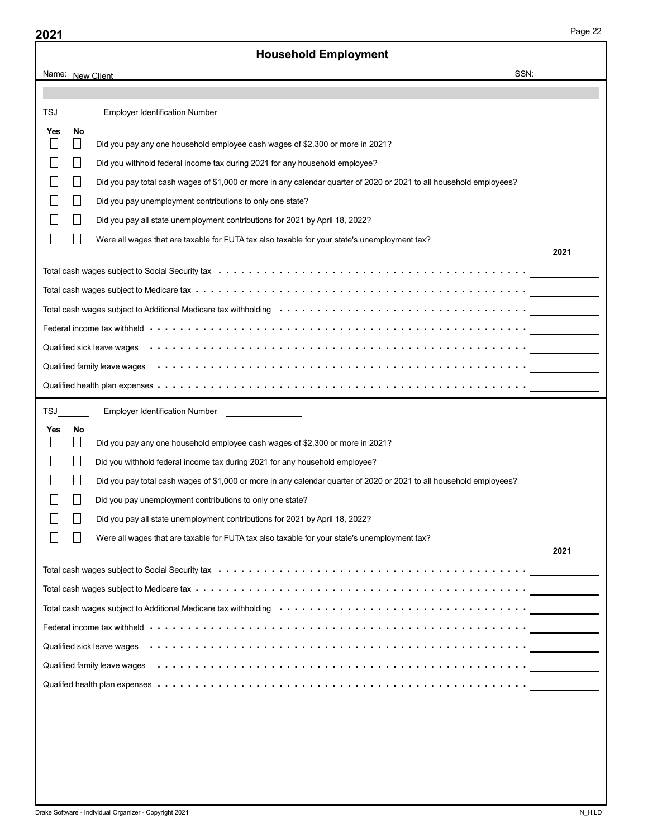|                                              | <b>Household Employment</b>                                                                                                                                                                                                    |      |
|----------------------------------------------|--------------------------------------------------------------------------------------------------------------------------------------------------------------------------------------------------------------------------------|------|
| Name: New Client                             | SSN:                                                                                                                                                                                                                           |      |
|                                              |                                                                                                                                                                                                                                |      |
| <b>Employer Identification Number</b><br>TSJ |                                                                                                                                                                                                                                |      |
| No<br>Yes                                    |                                                                                                                                                                                                                                |      |
| $\mathbf{L}$<br>$\perp$                      | Did you pay any one household employee cash wages of \$2,300 or more in 2021?                                                                                                                                                  |      |
| $\perp$                                      | Did you withhold federal income tax during 2021 for any household employee?                                                                                                                                                    |      |
| $\perp$                                      | Did you pay total cash wages of \$1,000 or more in any calendar quarter of 2020 or 2021 to all household employees?                                                                                                            |      |
| $\perp$                                      | Did you pay unemployment contributions to only one state?                                                                                                                                                                      |      |
| $\perp$                                      | Did you pay all state unemployment contributions for 2021 by April 18, 2022?                                                                                                                                                   |      |
| $\perp$                                      | Were all wages that are taxable for FUTA tax also taxable for your state's unemployment tax?                                                                                                                                   | 2021 |
|                                              | Total cash wages subject to Social Security tax (a) and (b) and (b) and (b) and (b) and (b) and (b) and (b) and (b) and (b) and (b) and (b) and (b) and (b) and (b) and (b) and (b) and (b) and (b) and (b) and (b) and (b) an |      |
|                                              |                                                                                                                                                                                                                                |      |
|                                              | Total cash wages subject to Additional Medicare tax withholding (and accommon content of a series of a series that withholding (and a series of a series of a series of a series of a series of a series of a series of a seri |      |
|                                              |                                                                                                                                                                                                                                |      |
|                                              |                                                                                                                                                                                                                                |      |
|                                              |                                                                                                                                                                                                                                |      |
|                                              |                                                                                                                                                                                                                                |      |
| TSJ                                          | Employer Identification Number ________________                                                                                                                                                                                |      |
| No<br>Yes                                    |                                                                                                                                                                                                                                |      |
| $\perp$                                      | Did you pay any one household employee cash wages of \$2,300 or more in 2021?                                                                                                                                                  |      |
| $\perp$                                      | Did you withhold federal income tax during 2021 for any household employee?                                                                                                                                                    |      |
| $\perp$                                      | Did you pay total cash wages of \$1,000 or more in any calendar quarter of 2020 or 2021 to all household employees?                                                                                                            |      |
| $\perp$                                      | Did you pay unemployment contributions to only one state?                                                                                                                                                                      |      |
| $\perp$                                      | Did you pay all state unemployment contributions for 2021 by April 18, 2022?                                                                                                                                                   |      |
| $\perp$                                      | Were all wages that are taxable for FUTA tax also taxable for your state's unemployment tax?                                                                                                                                   |      |
|                                              |                                                                                                                                                                                                                                | 2021 |
|                                              |                                                                                                                                                                                                                                |      |
|                                              |                                                                                                                                                                                                                                |      |
|                                              |                                                                                                                                                                                                                                |      |
|                                              | Federal income tax withheld in it is in the set of the set of the set of the set of the set of the set of the set of the set of the set of the set of the set of the set of the set of the set of the set of the set of the se |      |
|                                              |                                                                                                                                                                                                                                |      |
|                                              |                                                                                                                                                                                                                                |      |
|                                              |                                                                                                                                                                                                                                |      |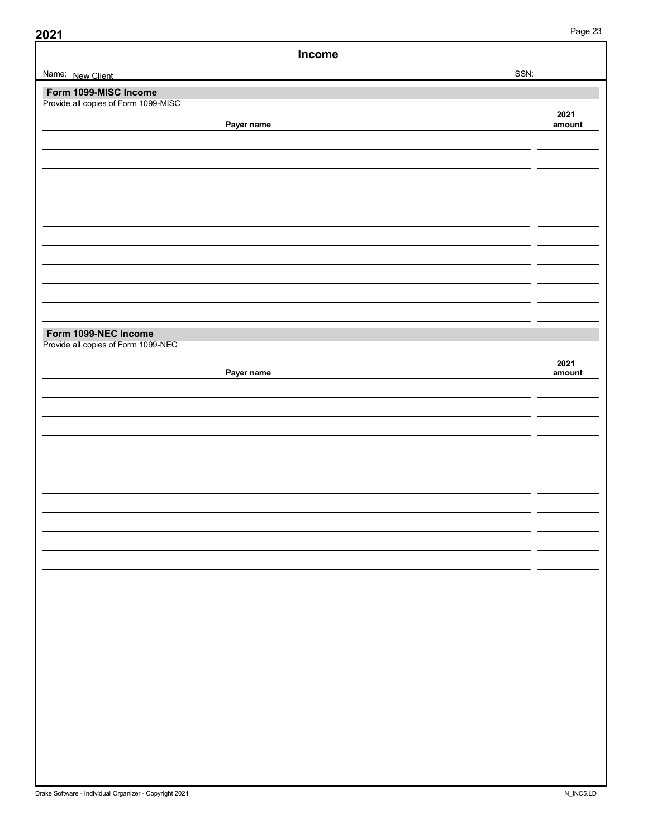| Income                                                        |                |
|---------------------------------------------------------------|----------------|
| Name: New Client                                              | SSN:           |
| Form 1099-MISC Income<br>Provide all copies of Form 1099-MISC |                |
| Payer name                                                    | 2021<br>amount |
|                                                               |                |
|                                                               |                |
|                                                               |                |
|                                                               |                |
|                                                               |                |
|                                                               |                |
|                                                               |                |
|                                                               |                |
|                                                               |                |
| Form 1099-NEC Income<br>Provide all copies of Form 1099-NEC   |                |
|                                                               | 2021           |
| Payer name                                                    | amount         |
|                                                               |                |
|                                                               |                |
|                                                               |                |
|                                                               |                |
|                                                               |                |
|                                                               |                |
|                                                               |                |
|                                                               |                |
|                                                               |                |
|                                                               |                |
|                                                               |                |
|                                                               |                |
|                                                               |                |
|                                                               |                |
|                                                               |                |
|                                                               |                |
|                                                               |                |
|                                                               |                |
| Drake Software - Individual Organizer - Copyright 2021        | $N$ _INC5.LD   |